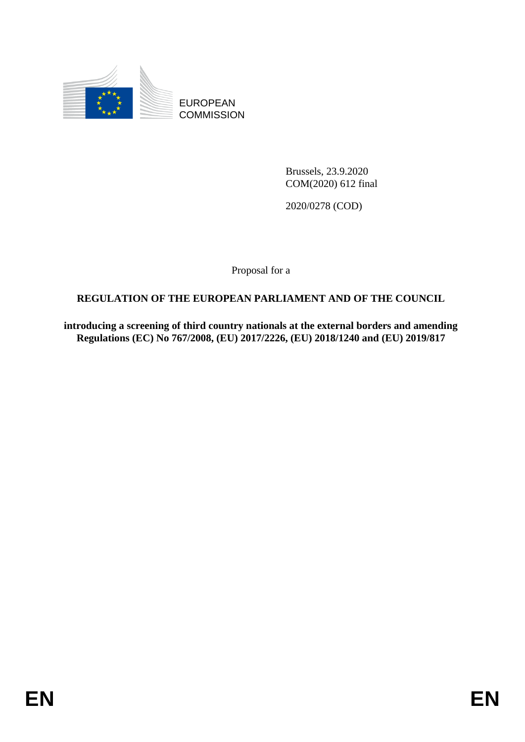

EUROPEAN **COMMISSION** 

> Brussels, 23.9.2020 COM(2020) 612 final

2020/0278 (COD)

Proposal for a

# **REGULATION OF THE EUROPEAN PARLIAMENT AND OF THE COUNCIL**

**introducing a screening of third country nationals at the external borders and amending Regulations (EC) No 767/2008, (EU) 2017/2226, (EU) 2018/1240 and (EU) 2019/817**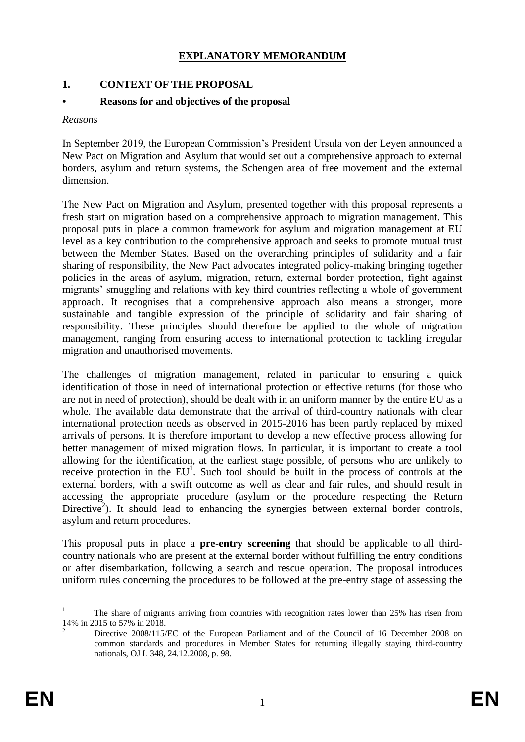#### **EXPLANATORY MEMORANDUM**

### **1. CONTEXT OF THE PROPOSAL**

#### **• Reasons for and objectives of the proposal**

#### *Reasons*

In September 2019, the European Commission's President Ursula von der Leyen announced a New Pact on Migration and Asylum that would set out a comprehensive approach to external borders, asylum and return systems, the Schengen area of free movement and the external dimension.

The New Pact on Migration and Asylum, presented together with this proposal represents a fresh start on migration based on a comprehensive approach to migration management. This proposal puts in place a common framework for asylum and migration management at EU level as a key contribution to the comprehensive approach and seeks to promote mutual trust between the Member States. Based on the overarching principles of solidarity and a fair sharing of responsibility, the New Pact advocates integrated policy-making bringing together policies in the areas of asylum, migration, return, external border protection, fight against migrants' smuggling and relations with key third countries reflecting a whole of government approach. It recognises that a comprehensive approach also means a stronger, more sustainable and tangible expression of the principle of solidarity and fair sharing of responsibility. These principles should therefore be applied to the whole of migration management, ranging from ensuring access to international protection to tackling irregular migration and unauthorised movements.

The challenges of migration management, related in particular to ensuring a quick identification of those in need of international protection or effective returns (for those who are not in need of protection), should be dealt with in an uniform manner by the entire EU as a whole. The available data demonstrate that the arrival of third-country nationals with clear international protection needs as observed in 2015-2016 has been partly replaced by mixed arrivals of persons. It is therefore important to develop a new effective process allowing for better management of mixed migration flows. In particular, it is important to create a tool allowing for the identification, at the earliest stage possible, of persons who are unlikely to receive protection in the  $EU<sup>1</sup>$ . Such tool should be built in the process of controls at the external borders, with a swift outcome as well as clear and fair rules, and should result in accessing the appropriate procedure (asylum or the procedure respecting the Return Directive<sup>2</sup>). It should lead to enhancing the synergies between external border controls, asylum and return procedures.

This proposal puts in place a **pre-entry screening** that should be applicable to all thirdcountry nationals who are present at the external border without fulfilling the entry conditions or after disembarkation, following a search and rescue operation. The proposal introduces uniform rules concerning the procedures to be followed at the pre-entry stage of assessing the

<sup>1</sup> <sup>1</sup> The share of migrants arriving from countries with recognition rates lower than 25% has risen from 14% in 2015 to 57% in 2018.

<sup>2</sup> Directive 2008/115/EC of the European Parliament and of the Council of 16 December 2008 on common standards and procedures in Member States for returning illegally staying third-country nationals, OJ L 348, 24.12.2008, p. 98.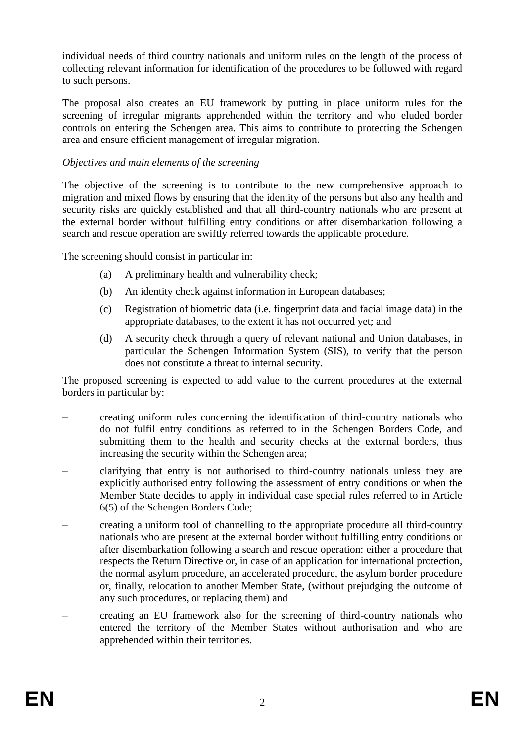individual needs of third country nationals and uniform rules on the length of the process of collecting relevant information for identification of the procedures to be followed with regard to such persons.

The proposal also creates an EU framework by putting in place uniform rules for the screening of irregular migrants apprehended within the territory and who eluded border controls on entering the Schengen area. This aims to contribute to protecting the Schengen area and ensure efficient management of irregular migration.

#### *Objectives and main elements of the screening*

The objective of the screening is to contribute to the new comprehensive approach to migration and mixed flows by ensuring that the identity of the persons but also any health and security risks are quickly established and that all third-country nationals who are present at the external border without fulfilling entry conditions or after disembarkation following a search and rescue operation are swiftly referred towards the applicable procedure.

The screening should consist in particular in:

- (a) A preliminary health and vulnerability check;
- (b) An identity check against information in European databases;
- (c) Registration of biometric data (i.e. fingerprint data and facial image data) in the appropriate databases, to the extent it has not occurred yet; and
- (d) A security check through a query of relevant national and Union databases, in particular the Schengen Information System (SIS), to verify that the person does not constitute a threat to internal security.

The proposed screening is expected to add value to the current procedures at the external borders in particular by:

- creating uniform rules concerning the identification of third-country nationals who do not fulfil entry conditions as referred to in the Schengen Borders Code, and submitting them to the health and security checks at the external borders, thus increasing the security within the Schengen area;
- clarifying that entry is not authorised to third-country nationals unless they are explicitly authorised entry following the assessment of entry conditions or when the Member State decides to apply in individual case special rules referred to in Article 6(5) of the Schengen Borders Code;
- creating a uniform tool of channelling to the appropriate procedure all third-country nationals who are present at the external border without fulfilling entry conditions or after disembarkation following a search and rescue operation: either a procedure that respects the Return Directive or, in case of an application for international protection, the normal asylum procedure, an accelerated procedure, the asylum border procedure or, finally, relocation to another Member State, (without prejudging the outcome of any such procedures, or replacing them) and
- creating an EU framework also for the screening of third-country nationals who entered the territory of the Member States without authorisation and who are apprehended within their territories.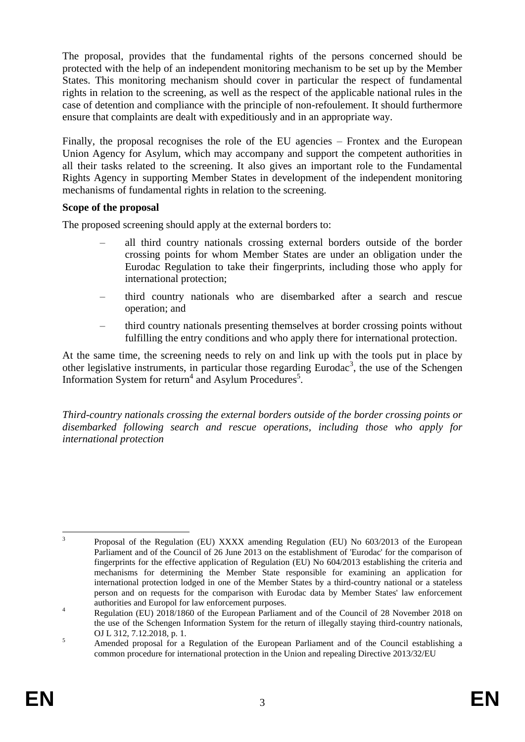The proposal, provides that the fundamental rights of the persons concerned should be protected with the help of an independent monitoring mechanism to be set up by the Member States. This monitoring mechanism should cover in particular the respect of fundamental rights in relation to the screening, as well as the respect of the applicable national rules in the case of detention and compliance with the principle of non-refoulement. It should furthermore ensure that complaints are dealt with expeditiously and in an appropriate way.

Finally, the proposal recognises the role of the EU agencies – Frontex and the European Union Agency for Asylum, which may accompany and support the competent authorities in all their tasks related to the screening. It also gives an important role to the Fundamental Rights Agency in supporting Member States in development of the independent monitoring mechanisms of fundamental rights in relation to the screening.

#### **Scope of the proposal**

The proposed screening should apply at the external borders to:

- all third country nationals crossing external borders outside of the border crossing points for whom Member States are under an obligation under the Eurodac Regulation to take their fingerprints, including those who apply for international protection;
- third country nationals who are disembarked after a search and rescue operation; and
- <span id="page-3-0"></span>– third country nationals presenting themselves at border crossing points without fulfilling the entry conditions and who apply there for international protection.

At the same time, the screening needs to rely on and link up with the tools put in place by other legislative instruments, in particular those regarding Eurodac<sup>3</sup>, the use of the Schengen Information System for return<sup>4</sup> and Asylum Procedures<sup>5</sup>.

*Third-country nationals crossing the external borders outside of the border crossing points or disembarked following search and rescue operations, including those who apply for international protection* 

 $\frac{1}{3}$ Proposal of the Regulation (EU) XXXX amending Regulation (EU) No 603/2013 of the European Parliament and of the Council of 26 June 2013 on the establishment of 'Eurodac' for the comparison of fingerprints for the effective application of Regulation (EU) No 604/2013 establishing the criteria and mechanisms for determining the Member State responsible for examining an application for international protection lodged in one of the Member States by a third-country national or a stateless person and on requests for the comparison with Eurodac data by Member States' law enforcement authorities and Europol for law enforcement purposes.

<sup>&</sup>lt;sup>4</sup> Regulation (EU) 2018/1860 of the European Parliament and of the Council of 28 November 2018 on the use of the Schengen Information System for the return of illegally staying third-country nationals, OJ L 312, 7.12.2018, p. 1.

<sup>&</sup>lt;sup>5</sup><br>Amended proposal for a Regulation of the European Parliament and of the Council establishing a common procedure for international protection in the Union and repealing Directive 2013/32/EU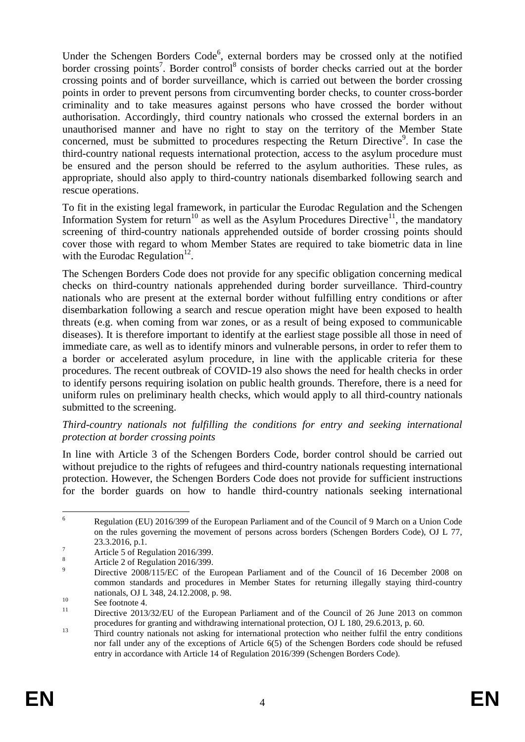Under the Schengen Borders Code<sup>6</sup>, external borders may be crossed only at the notified border crossing points<sup>7</sup>. Border control<sup>8</sup> consists of border checks carried out at the border crossing points and of border surveillance, which is carried out between the border crossing points in order to prevent persons from circumventing border checks, to counter cross-border criminality and to take measures against persons who have crossed the border without authorisation. Accordingly, third country nationals who crossed the external borders in an unauthorised manner and have no right to stay on the territory of the Member State concerned, must be submitted to procedures respecting the Return Directive<sup>9</sup>. In case the third-country national requests international protection, access to the asylum procedure must be ensured and the person should be referred to the asylum authorities. These rules, as appropriate, should also apply to third-country nationals disembarked following search and rescue operations.

To fit in the existing legal framework, in particular the Eurodac Regulation and the Schengen Information System for return<sup>10</sup> as well as the Asylum Procedures Directive<sup>11</sup>, the mandatory screening of third-country nationals apprehended outside of border crossing points should cover those with regard to whom Member States are required to take biometric data in line with the Eurodac Regulation $^{12}$ .

The Schengen Borders Code does not provide for any specific obligation concerning medical checks on third-country nationals apprehended during border surveillance. Third-country nationals who are present at the external border without fulfilling entry conditions or after disembarkation following a search and rescue operation might have been exposed to health threats (e.g. when coming from war zones, or as a result of being exposed to communicable diseases). It is therefore important to identify at the earliest stage possible all those in need of immediate care, as well as to identify minors and vulnerable persons, in order to refer them to a border or accelerated asylum procedure, in line with the applicable criteria for these procedures. The recent outbreak of COVID-19 also shows the need for health checks in order to identify persons requiring isolation on public health grounds. Therefore, there is a need for uniform rules on preliminary health checks, which would apply to all third-country nationals submitted to the screening.

#### *Third-country nationals not fulfilling the conditions for entry and seeking international protection at border crossing points*

In line with Article 3 of the Schengen Borders Code, border control should be carried out without prejudice to the rights of refugees and third-country nationals requesting international protection. However, the Schengen Borders Code does not provide for sufficient instructions for the border guards on how to handle third-country nationals seeking international

 $6\overline{6}$ <sup>6</sup> Regulation (EU) 2016/399 of the European Parliament and of the Council of 9 March on a Union Code on the rules governing the movement of persons across borders (Schengen Borders Code), OJ L 77, 23.3.2016, p.1.

 $\frac{7}{8}$  Article 5 of Regulation 2016/399.

 $\frac{8}{9}$  Article 2 of Regulation 2016/399.

Directive 2008/115/EC of the European Parliament and of the Council of 16 December 2008 on common standards and procedures in Member States for returning illegally staying third-country nationals, OJ L 348, 24.12.2008, p. 98.

 $\frac{10}{11}$  See footnot[e 4.](#page-3-0)

Directive 2013/32/EU of the European Parliament and of the Council of 26 June 2013 on common procedures for granting and withdrawing international protection, OJ L 180, 29.6.2013, p. 60.

<sup>&</sup>lt;sup>13</sup> Third country nationals not asking for international protection who neither fulfil the entry conditions nor fall under any of the exceptions of Article 6(5) of the Schengen Borders code should be refused entry in accordance with Article 14 of Regulation 2016/399 (Schengen Borders Code).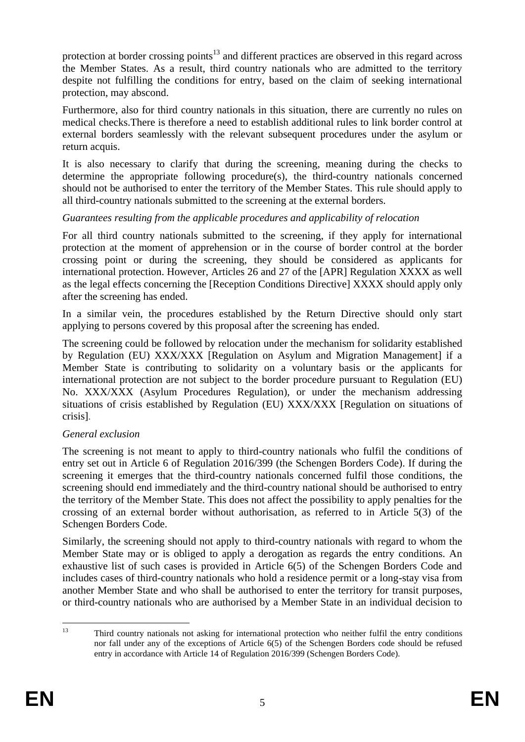protection at border crossing points<sup>13</sup> and different practices are observed in this regard across the Member States. As a result, third country nationals who are admitted to the territory despite not fulfilling the conditions for entry, based on the claim of seeking international protection, may abscond.

Furthermore, also for third country nationals in this situation, there are currently no rules on medical checks.There is therefore a need to establish additional rules to link border control at external borders seamlessly with the relevant subsequent procedures under the asylum or return acquis.

It is also necessary to clarify that during the screening, meaning during the checks to determine the appropriate following procedure(s), the third-country nationals concerned should not be authorised to enter the territory of the Member States. This rule should apply to all third-country nationals submitted to the screening at the external borders.

#### *Guarantees resulting from the applicable procedures and applicability of relocation*

For all third country nationals submitted to the screening, if they apply for international protection at the moment of apprehension or in the course of border control at the border crossing point or during the screening, they should be considered as applicants for international protection. However, Articles 26 and 27 of the [APR] Regulation XXXX as well as the legal effects concerning the [Reception Conditions Directive] XXXX should apply only after the screening has ended.

In a similar vein, the procedures established by the Return Directive should only start applying to persons covered by this proposal after the screening has ended.

The screening could be followed by relocation under the mechanism for solidarity established by Regulation (EU) XXX/XXX [Regulation on Asylum and Migration Management] if a Member State is contributing to solidarity on a voluntary basis or the applicants for international protection are not subject to the border procedure pursuant to Regulation (EU) No. XXX/XXX (Asylum Procedures Regulation), or under the mechanism addressing situations of crisis established by Regulation (EU) XXX/XXX [Regulation on situations of crisis].

### *General exclusion*

The screening is not meant to apply to third-country nationals who fulfil the conditions of entry set out in Article 6 of Regulation 2016/399 (the Schengen Borders Code). If during the screening it emerges that the third-country nationals concerned fulfil those conditions, the screening should end immediately and the third-country national should be authorised to entry the territory of the Member State. This does not affect the possibility to apply penalties for the crossing of an external border without authorisation, as referred to in Article 5(3) of the Schengen Borders Code.

Similarly, the screening should not apply to third-country nationals with regard to whom the Member State may or is obliged to apply a derogation as regards the entry conditions. An exhaustive list of such cases is provided in Article 6(5) of the Schengen Borders Code and includes cases of third-country nationals who hold a residence permit or a long-stay visa from another Member State and who shall be authorised to enter the territory for transit purposes, or third-country nationals who are authorised by a Member State in an individual decision to

 $13$ <sup>13</sup> Third country nationals not asking for international protection who neither fulfil the entry conditions nor fall under any of the exceptions of Article 6(5) of the Schengen Borders code should be refused entry in accordance with Article 14 of Regulation 2016/399 (Schengen Borders Code).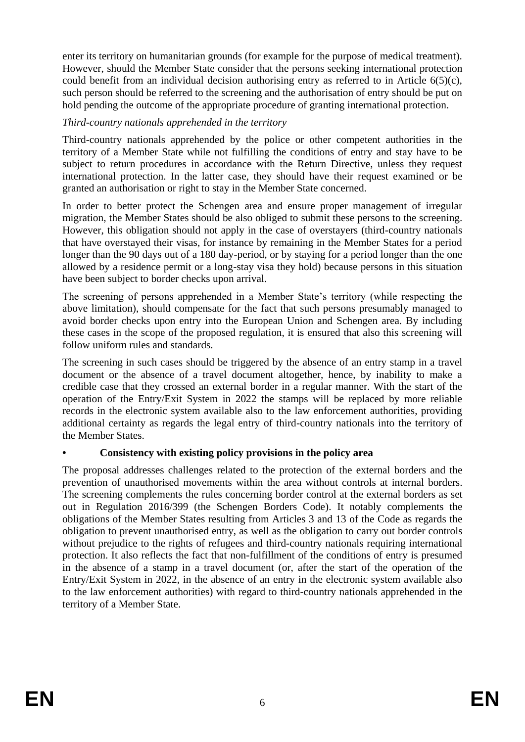enter its territory on humanitarian grounds (for example for the purpose of medical treatment). However, should the Member State consider that the persons seeking international protection could benefit from an individual decision authorising entry as referred to in Article 6(5)(c), such person should be referred to the screening and the authorisation of entry should be put on hold pending the outcome of the appropriate procedure of granting international protection.

### *Third-country nationals apprehended in the territory*

Third-country nationals apprehended by the police or other competent authorities in the territory of a Member State while not fulfilling the conditions of entry and stay have to be subject to return procedures in accordance with the Return Directive, unless they request international protection. In the latter case, they should have their request examined or be granted an authorisation or right to stay in the Member State concerned.

In order to better protect the Schengen area and ensure proper management of irregular migration, the Member States should be also obliged to submit these persons to the screening. However, this obligation should not apply in the case of overstayers (third-country nationals that have overstayed their visas, for instance by remaining in the Member States for a period longer than the 90 days out of a 180 day-period, or by staying for a period longer than the one allowed by a residence permit or a long-stay visa they hold) because persons in this situation have been subject to border checks upon arrival.

The screening of persons apprehended in a Member State's territory (while respecting the above limitation), should compensate for the fact that such persons presumably managed to avoid border checks upon entry into the European Union and Schengen area. By including these cases in the scope of the proposed regulation, it is ensured that also this screening will follow uniform rules and standards.

The screening in such cases should be triggered by the absence of an entry stamp in a travel document or the absence of a travel document altogether, hence, by inability to make a credible case that they crossed an external border in a regular manner. With the start of the operation of the Entry/Exit System in 2022 the stamps will be replaced by more reliable records in the electronic system available also to the law enforcement authorities, providing additional certainty as regards the legal entry of third-country nationals into the territory of the Member States.

# **• Consistency with existing policy provisions in the policy area**

The proposal addresses challenges related to the protection of the external borders and the prevention of unauthorised movements within the area without controls at internal borders. The screening complements the rules concerning border control at the external borders as set out in Regulation 2016/399 (the Schengen Borders Code). It notably complements the obligations of the Member States resulting from Articles 3 and 13 of the Code as regards the obligation to prevent unauthorised entry, as well as the obligation to carry out border controls without prejudice to the rights of refugees and third-country nationals requiring international protection. It also reflects the fact that non-fulfillment of the conditions of entry is presumed in the absence of a stamp in a travel document (or, after the start of the operation of the Entry/Exit System in 2022, in the absence of an entry in the electronic system available also to the law enforcement authorities) with regard to third-country nationals apprehended in the territory of a Member State.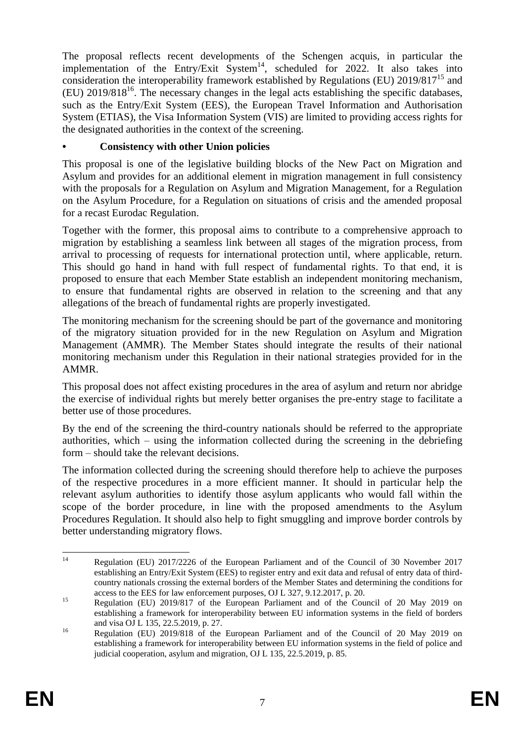The proposal reflects recent developments of the Schengen acquis, in particular the implementation of the Entry/Exit  $\text{System}^{14}$ , scheduled for 2022. It also takes into consideration the interoperability framework established by Regulations (EU)  $2019/817^{15}$  and  $(EU)$  2019/818<sup>16</sup>. The necessary changes in the legal acts establishing the specific databases, such as the Entry/Exit System (EES), the European Travel Information and Authorisation System (ETIAS), the Visa Information System (VIS) are limited to providing access rights for the designated authorities in the context of the screening.

### **• Consistency with other Union policies**

This proposal is one of the legislative building blocks of the New Pact on Migration and Asylum and provides for an additional element in migration management in full consistency with the proposals for a Regulation on Asylum and Migration Management, for a Regulation on the Asylum Procedure, for a Regulation on situations of crisis and the amended proposal for a recast Eurodac Regulation.

Together with the former, this proposal aims to contribute to a comprehensive approach to migration by establishing a seamless link between all stages of the migration process, from arrival to processing of requests for international protection until, where applicable, return. This should go hand in hand with full respect of fundamental rights. To that end, it is proposed to ensure that each Member State establish an independent monitoring mechanism, to ensure that fundamental rights are observed in relation to the screening and that any allegations of the breach of fundamental rights are properly investigated.

The monitoring mechanism for the screening should be part of the governance and monitoring of the migratory situation provided for in the new Regulation on Asylum and Migration Management (AMMR). The Member States should integrate the results of their national monitoring mechanism under this Regulation in their national strategies provided for in the AMMR.

This proposal does not affect existing procedures in the area of asylum and return nor abridge the exercise of individual rights but merely better organises the pre-entry stage to facilitate a better use of those procedures.

By the end of the screening the third-country nationals should be referred to the appropriate authorities, which – using the information collected during the screening in the debriefing form – should take the relevant decisions.

The information collected during the screening should therefore help to achieve the purposes of the respective procedures in a more efficient manner. It should in particular help the relevant asylum authorities to identify those asylum applicants who would fall within the scope of the border procedure, in line with the proposed amendments to the Asylum Procedures Regulation. It should also help to fight smuggling and improve border controls by better understanding migratory flows.

 $14$ <sup>14</sup> Regulation (EU) 2017/2226 of the European Parliament and of the Council of 30 November 2017 establishing an Entry/Exit System (EES) to register entry and exit data and refusal of entry data of thirdcountry nationals crossing the external borders of the Member States and determining the conditions for access to the EES for law enforcement purposes, OJ L 327, 9.12.2017, p. 20.

<sup>&</sup>lt;sup>15</sup> Regulation (EU) 2019/817 of the European Parliament and of the Council of 20 May 2019 on establishing a framework for interoperability between EU information systems in the field of borders and visa OJ L 135, 22.5.2019, p. 27.

<sup>16</sup> Regulation (EU) 2019/818 of the European Parliament and of the Council of 20 May 2019 on establishing a framework for interoperability between EU information systems in the field of police and judicial cooperation, asylum and migration, OJ L 135, 22.5.2019, p. 85.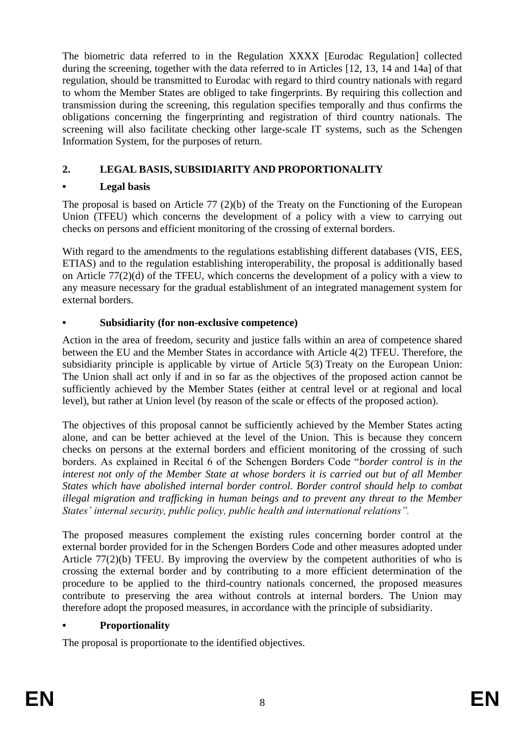The biometric data referred to in the Regulation XXXX [Eurodac Regulation] collected during the screening, together with the data referred to in Articles [12, 13, 14 and 14a] of that regulation, should be transmitted to Eurodac with regard to third country nationals with regard to whom the Member States are obliged to take fingerprints. By requiring this collection and transmission during the screening, this regulation specifies temporally and thus confirms the obligations concerning the fingerprinting and registration of third country nationals. The screening will also facilitate checking other large-scale IT systems, such as the Schengen Information System, for the purposes of return.

# **2. LEGAL BASIS, SUBSIDIARITY AND PROPORTIONALITY**

## **• Legal basis**

The proposal is based on Article 77 (2)(b) of the Treaty on the Functioning of the European Union (TFEU) which concerns the development of a policy with a view to carrying out checks on persons and efficient monitoring of the crossing of external borders.

With regard to the amendments to the regulations establishing different databases (VIS, EES, ETIAS) and to the regulation establishing interoperability, the proposal is additionally based on Article 77(2)(d) of the TFEU, which concerns the development of a policy with a view to any measure necessary for the gradual establishment of an integrated management system for external borders.

# **• Subsidiarity (for non-exclusive competence)**

Action in the area of freedom, security and justice falls within an area of competence shared between the EU and the Member States in accordance with Article 4(2) TFEU. Therefore, the subsidiarity principle is applicable by virtue of Article 5(3) Treaty on the European Union: The Union shall act only if and in so far as the objectives of the proposed action cannot be sufficiently achieved by the Member States (either at central level or at regional and local level), but rather at Union level (by reason of the scale or effects of the proposed action).

The objectives of this proposal cannot be sufficiently achieved by the Member States acting alone, and can be better achieved at the level of the Union. This is because they concern checks on persons at the external borders and efficient monitoring of the crossing of such borders. As explained in Recital 6 of the Schengen Borders Code "*border control is in the interest not only of the Member State at whose borders it is carried out but of all Member States which have abolished internal border control. Border control should help to combat illegal migration and trafficking in human beings and to prevent any threat to the Member States' internal security, public policy, public health and international relations".*

The proposed measures complement the existing rules concerning border control at the external border provided for in the Schengen Borders Code and other measures adopted under Article 77(2)(b) TFEU. By improving the overview by the competent authorities of who is crossing the external border and by contributing to a more efficient determination of the procedure to be applied to the third-country nationals concerned, the proposed measures contribute to preserving the area without controls at internal borders. The Union may therefore adopt the proposed measures, in accordance with the principle of subsidiarity.

### **• Proportionality**

The proposal is proportionate to the identified objectives.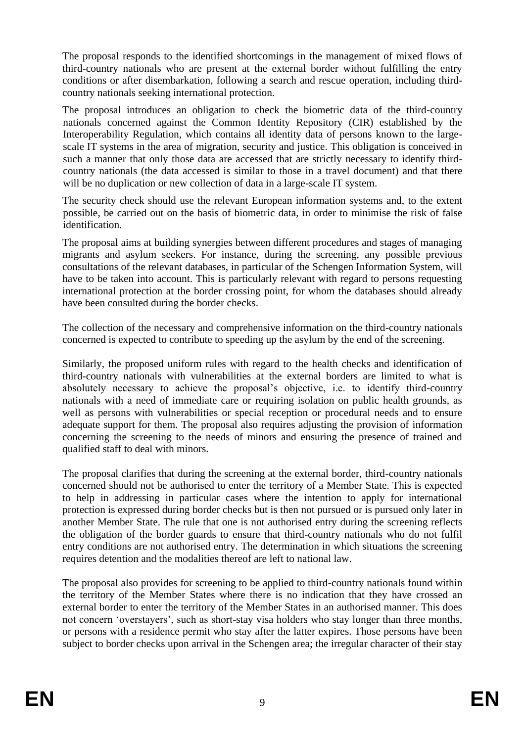The proposal responds to the identified shortcomings in the management of mixed flows of third-country nationals who are present at the external border without fulfilling the entry conditions or after disembarkation, following a search and rescue operation, including thirdcountry nationals seeking international protection.

The proposal introduces an obligation to check the biometric data of the third-country nationals concerned against the Common Identity Repository (CIR) established by the Interoperability Regulation, which contains all identity data of persons known to the largescale IT systems in the area of migration, security and justice. This obligation is conceived in such a manner that only those data are accessed that are strictly necessary to identify thirdcountry nationals (the data accessed is similar to those in a travel document) and that there will be no duplication or new collection of data in a large-scale IT system.

The security check should use the relevant European information systems and, to the extent possible, be carried out on the basis of biometric data, in order to minimise the risk of false identification.

The proposal aims at building synergies between different procedures and stages of managing migrants and asylum seekers. For instance, during the screening, any possible previous consultations of the relevant databases, in particular of the Schengen Information System, will have to be taken into account. This is particularly relevant with regard to persons requesting international protection at the border crossing point, for whom the databases should already have been consulted during the border checks.

The collection of the necessary and comprehensive information on the third-country nationals concerned is expected to contribute to speeding up the asylum by the end of the screening.

Similarly, the proposed uniform rules with regard to the health checks and identification of third-country nationals with vulnerabilities at the external borders are limited to what is absolutely necessary to achieve the proposal's objective, i.e. to identify third-country nationals with a need of immediate care or requiring isolation on public health grounds, as well as persons with vulnerabilities or special reception or procedural needs and to ensure adequate support for them. The proposal also requires adjusting the provision of information concerning the screening to the needs of minors and ensuring the presence of trained and qualified staff to deal with minors.

The proposal clarifies that during the screening at the external border, third-country nationals concerned should not be authorised to enter the territory of a Member State. This is expected to help in addressing in particular cases where the intention to apply for international protection is expressed during border checks but is then not pursued or is pursued only later in another Member State. The rule that one is not authorised entry during the screening reflects the obligation of the border guards to ensure that third-country nationals who do not fulfil entry conditions are not authorised entry. The determination in which situations the screening requires detention and the modalities thereof are left to national law.

The proposal also provides for screening to be applied to third-country nationals found within the territory of the Member States where there is no indication that they have crossed an external border to enter the territory of the Member States in an authorised manner. This does not concern 'overstayers', such as short-stay visa holders who stay longer than three months, or persons with a residence permit who stay after the latter expires. Those persons have been subject to border checks upon arrival in the Schengen area; the irregular character of their stay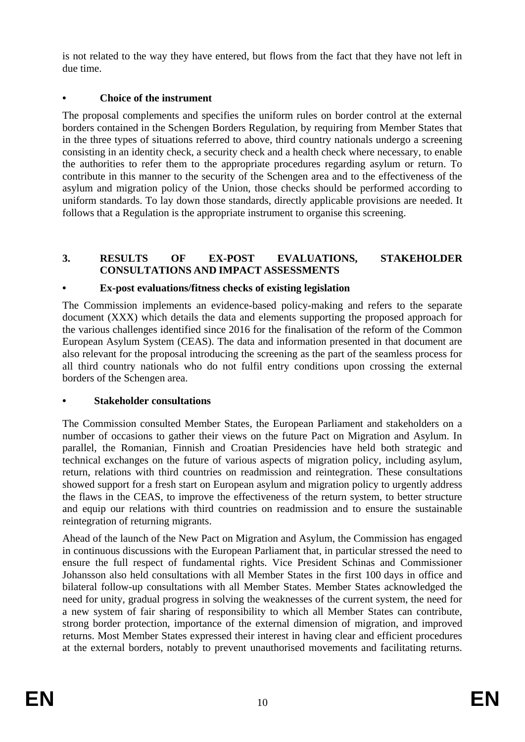is not related to the way they have entered, but flows from the fact that they have not left in due time.

## **• Choice of the instrument**

The proposal complements and specifies the uniform rules on border control at the external borders contained in the Schengen Borders Regulation, by requiring from Member States that in the three types of situations referred to above, third country nationals undergo a screening consisting in an identity check, a security check and a health check where necessary, to enable the authorities to refer them to the appropriate procedures regarding asylum or return. To contribute in this manner to the security of the Schengen area and to the effectiveness of the asylum and migration policy of the Union, those checks should be performed according to uniform standards. To lay down those standards, directly applicable provisions are needed. It follows that a Regulation is the appropriate instrument to organise this screening.

## **3. RESULTS OF EX-POST EVALUATIONS, STAKEHOLDER CONSULTATIONS AND IMPACT ASSESSMENTS**

# **• Ex-post evaluations/fitness checks of existing legislation**

The Commission implements an evidence-based policy-making and refers to the separate document (XXX) which details the data and elements supporting the proposed approach for the various challenges identified since 2016 for the finalisation of the reform of the Common European Asylum System (CEAS). The data and information presented in that document are also relevant for the proposal introducing the screening as the part of the seamless process for all third country nationals who do not fulfil entry conditions upon crossing the external borders of the Schengen area.

### **• Stakeholder consultations**

The Commission consulted Member States, the European Parliament and stakeholders on a number of occasions to gather their views on the future Pact on Migration and Asylum. In parallel, the Romanian, Finnish and Croatian Presidencies have held both strategic and technical exchanges on the future of various aspects of migration policy, including asylum, return, relations with third countries on readmission and reintegration. These consultations showed support for a fresh start on European asylum and migration policy to urgently address the flaws in the CEAS, to improve the effectiveness of the return system, to better structure and equip our relations with third countries on readmission and to ensure the sustainable reintegration of returning migrants.

Ahead of the launch of the New Pact on Migration and Asylum, the Commission has engaged in continuous discussions with the European Parliament that, in particular stressed the need to ensure the full respect of fundamental rights. Vice President Schinas and Commissioner Johansson also held consultations with all Member States in the first 100 days in office and bilateral follow-up consultations with all Member States. Member States acknowledged the need for unity, gradual progress in solving the weaknesses of the current system, the need for a new system of fair sharing of responsibility to which all Member States can contribute, strong border protection, importance of the external dimension of migration, and improved returns. Most Member States expressed their interest in having clear and efficient procedures at the external borders, notably to prevent unauthorised movements and facilitating returns.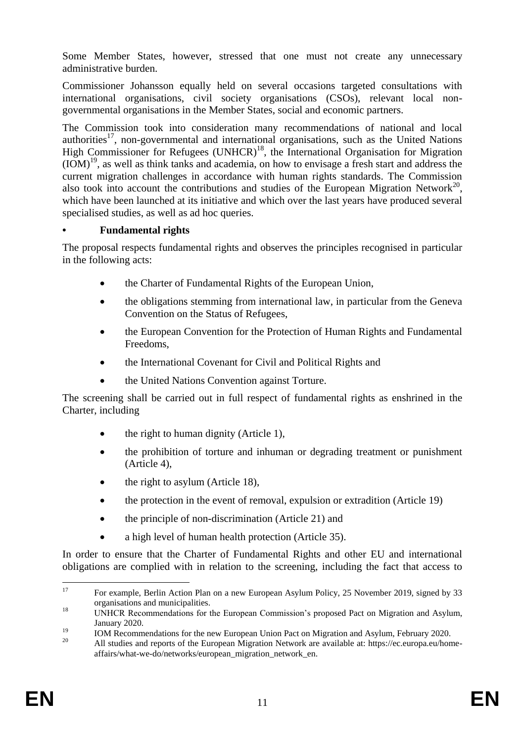Some Member States, however, stressed that one must not create any unnecessary administrative burden.

Commissioner Johansson equally held on several occasions targeted consultations with international organisations, civil society organisations (CSOs), relevant local nongovernmental organisations in the Member States, social and economic partners.

The Commission took into consideration many recommendations of national and local authorities<sup>17</sup>, non-governmental and international organisations, such as the United Nations High Commissioner for Refugees (UNHCR)<sup>18</sup>, the International Organisation for Migration  $(IOM)^{19}$ , as well as think tanks and academia, on how to envisage a fresh start and address the current migration challenges in accordance with human rights standards. The Commission also took into account the contributions and studies of the European Migration Network<sup>20</sup>, which have been launched at its initiative and which over the last years have produced several specialised studies, as well as ad hoc queries.

#### **• Fundamental rights**

The proposal respects fundamental rights and observes the principles recognised in particular in the following acts:

- the Charter of Fundamental Rights of the European Union,
- the obligations stemming from international law, in particular from the Geneva Convention on the Status of Refugees,
- the European Convention for the Protection of Human Rights and Fundamental Freedoms,
- the International Covenant for Civil and Political Rights and
- the United Nations Convention against Torture.

The screening shall be carried out in full respect of fundamental rights as enshrined in the Charter, including

- $\bullet$  the right to human dignity (Article 1),
- the prohibition of torture and inhuman or degrading treatment or punishment (Article 4),
- the right to asylum (Article 18),
- the protection in the event of removal, expulsion or extradition (Article 19)
- the principle of non-discrimination (Article 21) and
- a high level of human health protection (Article 35).

In order to ensure that the Charter of Fundamental Rights and other EU and international obligations are complied with in relation to the screening, including the fact that access to

 $17$ <sup>17</sup> For example, Berlin Action Plan on a new European Asylum Policy, 25 November 2019, signed by 33 organisations and municipalities.

<sup>&</sup>lt;sup>18</sup> UNHCR Recommendations for the European Commission's proposed Pact on Migration and Asylum, January 2020.

<sup>19</sup> IOM Recommendations for the new European Union Pact on Migration and Asylum, February 2020.

<sup>20</sup> All studies and reports of the European Migration Network are available at: https://ec.europa.eu/homeaffairs/what-we-do/networks/european\_migration\_network\_en.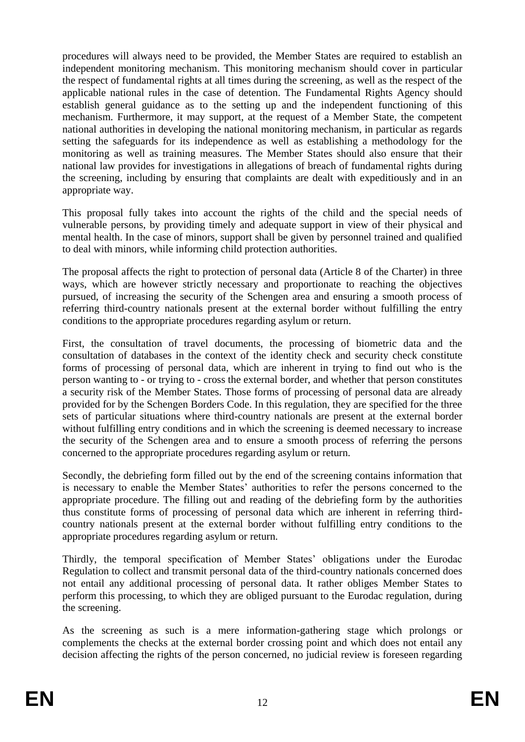procedures will always need to be provided, the Member States are required to establish an independent monitoring mechanism. This monitoring mechanism should cover in particular the respect of fundamental rights at all times during the screening, as well as the respect of the applicable national rules in the case of detention. The Fundamental Rights Agency should establish general guidance as to the setting up and the independent functioning of this mechanism. Furthermore, it may support, at the request of a Member State, the competent national authorities in developing the national monitoring mechanism, in particular as regards setting the safeguards for its independence as well as establishing a methodology for the monitoring as well as training measures. The Member States should also ensure that their national law provides for investigations in allegations of breach of fundamental rights during the screening, including by ensuring that complaints are dealt with expeditiously and in an appropriate way.

This proposal fully takes into account the rights of the child and the special needs of vulnerable persons, by providing timely and adequate support in view of their physical and mental health. In the case of minors, support shall be given by personnel trained and qualified to deal with minors, while informing child protection authorities.

The proposal affects the right to protection of personal data (Article 8 of the Charter) in three ways, which are however strictly necessary and proportionate to reaching the objectives pursued, of increasing the security of the Schengen area and ensuring a smooth process of referring third-country nationals present at the external border without fulfilling the entry conditions to the appropriate procedures regarding asylum or return.

First, the consultation of travel documents, the processing of biometric data and the consultation of databases in the context of the identity check and security check constitute forms of processing of personal data, which are inherent in trying to find out who is the person wanting to - or trying to - cross the external border, and whether that person constitutes a security risk of the Member States. Those forms of processing of personal data are already provided for by the Schengen Borders Code. In this regulation, they are specified for the three sets of particular situations where third-country nationals are present at the external border without fulfilling entry conditions and in which the screening is deemed necessary to increase the security of the Schengen area and to ensure a smooth process of referring the persons concerned to the appropriate procedures regarding asylum or return.

Secondly, the debriefing form filled out by the end of the screening contains information that is necessary to enable the Member States' authorities to refer the persons concerned to the appropriate procedure. The filling out and reading of the debriefing form by the authorities thus constitute forms of processing of personal data which are inherent in referring thirdcountry nationals present at the external border without fulfilling entry conditions to the appropriate procedures regarding asylum or return.

Thirdly, the temporal specification of Member States' obligations under the Eurodac Regulation to collect and transmit personal data of the third-country nationals concerned does not entail any additional processing of personal data. It rather obliges Member States to perform this processing, to which they are obliged pursuant to the Eurodac regulation, during the screening.

As the screening as such is a mere information-gathering stage which prolongs or complements the checks at the external border crossing point and which does not entail any decision affecting the rights of the person concerned, no judicial review is foreseen regarding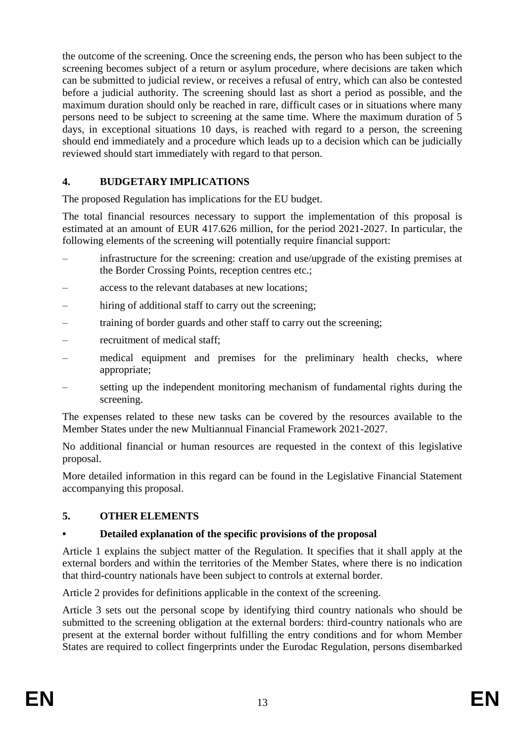the outcome of the screening. Once the screening ends, the person who has been subject to the screening becomes subject of a return or asylum procedure, where decisions are taken which can be submitted to judicial review, or receives a refusal of entry, which can also be contested before a judicial authority. The screening should last as short a period as possible, and the maximum duration should only be reached in rare, difficult cases or in situations where many persons need to be subject to screening at the same time. Where the maximum duration of 5 days, in exceptional situations 10 days, is reached with regard to a person, the screening should end immediately and a procedure which leads up to a decision which can be judicially reviewed should start immediately with regard to that person.

# **4. BUDGETARY IMPLICATIONS**

The proposed Regulation has implications for the EU budget.

The total financial resources necessary to support the implementation of this proposal is estimated at an amount of EUR 417.626 million, for the period 2021-2027. In particular, the following elements of the screening will potentially require financial support:

- infrastructure for the screening: creation and use/upgrade of the existing premises at the Border Crossing Points, reception centres etc.;
- access to the relevant databases at new locations;
- hiring of additional staff to carry out the screening:
- training of border guards and other staff to carry out the screening;
- recruitment of medical staff;
- medical equipment and premises for the preliminary health checks, where appropriate;
- setting up the independent monitoring mechanism of fundamental rights during the screening.

The expenses related to these new tasks can be covered by the resources available to the Member States under the new Multiannual Financial Framework 2021-2027.

No additional financial or human resources are requested in the context of this legislative proposal.

More detailed information in this regard can be found in the Legislative Financial Statement accompanying this proposal.

### **5. OTHER ELEMENTS**

### **• Detailed explanation of the specific provisions of the proposal**

Article 1 explains the subject matter of the Regulation. It specifies that it shall apply at the external borders and within the territories of the Member States, where there is no indication that third-country nationals have been subject to controls at external border.

Article 2 provides for definitions applicable in the context of the screening.

Article 3 sets out the personal scope by identifying third country nationals who should be submitted to the screening obligation at the external borders: third-country nationals who are present at the external border without fulfilling the entry conditions and for whom Member States are required to collect fingerprints under the Eurodac Regulation, persons disembarked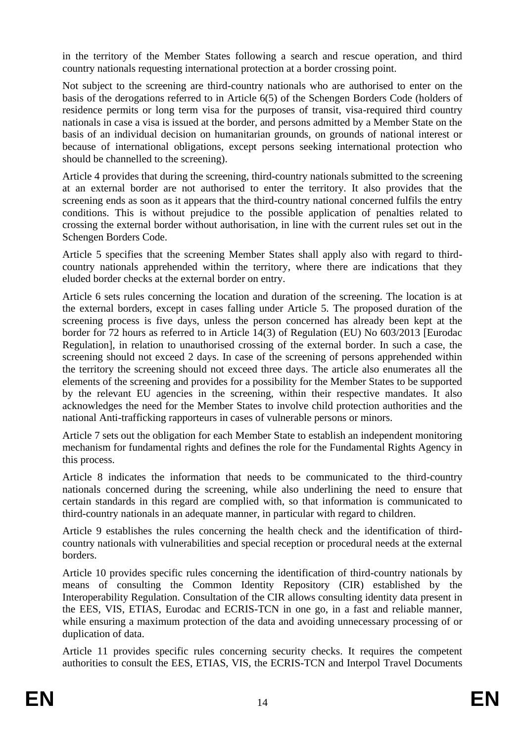in the territory of the Member States following a search and rescue operation, and third country nationals requesting international protection at a border crossing point.

Not subject to the screening are third-country nationals who are authorised to enter on the basis of the derogations referred to in Article 6(5) of the Schengen Borders Code (holders of residence permits or long term visa for the purposes of transit, visa-required third country nationals in case a visa is issued at the border, and persons admitted by a Member State on the basis of an individual decision on humanitarian grounds, on grounds of national interest or because of international obligations, except persons seeking international protection who should be channelled to the screening).

Article 4 provides that during the screening, third-country nationals submitted to the screening at an external border are not authorised to enter the territory. It also provides that the screening ends as soon as it appears that the third-country national concerned fulfils the entry conditions. This is without prejudice to the possible application of penalties related to crossing the external border without authorisation, in line with the current rules set out in the Schengen Borders Code.

Article 5 specifies that the screening Member States shall apply also with regard to thirdcountry nationals apprehended within the territory, where there are indications that they eluded border checks at the external border on entry.

Article 6 sets rules concerning the location and duration of the screening. The location is at the external borders, except in cases falling under Article 5. The proposed duration of the screening process is five days, unless the person concerned has already been kept at the border for 72 hours as referred to in Article 14(3) of Regulation (EU) No 603/2013 [Eurodac Regulation], in relation to unauthorised crossing of the external border. In such a case, the screening should not exceed 2 days. In case of the screening of persons apprehended within the territory the screening should not exceed three days. The article also enumerates all the elements of the screening and provides for a possibility for the Member States to be supported by the relevant EU agencies in the screening, within their respective mandates. It also acknowledges the need for the Member States to involve child protection authorities and the national Anti-trafficking rapporteurs in cases of vulnerable persons or minors.

Article 7 sets out the obligation for each Member State to establish an independent monitoring mechanism for fundamental rights and defines the role for the Fundamental Rights Agency in this process.

Article 8 indicates the information that needs to be communicated to the third-country nationals concerned during the screening, while also underlining the need to ensure that certain standards in this regard are complied with, so that information is communicated to third-country nationals in an adequate manner, in particular with regard to children.

Article 9 establishes the rules concerning the health check and the identification of thirdcountry nationals with vulnerabilities and special reception or procedural needs at the external borders.

Article 10 provides specific rules concerning the identification of third-country nationals by means of consulting the Common Identity Repository (CIR) established by the Interoperability Regulation. Consultation of the CIR allows consulting identity data present in the EES, VIS, ETIAS, Eurodac and ECRIS-TCN in one go, in a fast and reliable manner, while ensuring a maximum protection of the data and avoiding unnecessary processing of or duplication of data.

Article 11 provides specific rules concerning security checks. It requires the competent authorities to consult the EES, ETIAS, VIS, the ECRIS-TCN and Interpol Travel Documents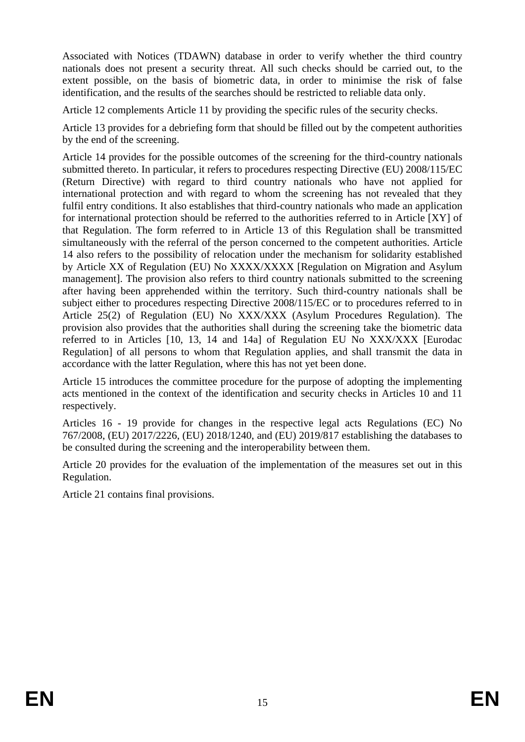Associated with Notices (TDAWN) database in order to verify whether the third country nationals does not present a security threat. All such checks should be carried out, to the extent possible, on the basis of biometric data, in order to minimise the risk of false identification, and the results of the searches should be restricted to reliable data only.

Article 12 complements Article 11 by providing the specific rules of the security checks.

Article 13 provides for a debriefing form that should be filled out by the competent authorities by the end of the screening.

Article 14 provides for the possible outcomes of the screening for the third-country nationals submitted thereto. In particular, it refers to procedures respecting Directive (EU) 2008/115/EC (Return Directive) with regard to third country nationals who have not applied for international protection and with regard to whom the screening has not revealed that they fulfil entry conditions. It also establishes that third-country nationals who made an application for international protection should be referred to the authorities referred to in Article [XY] of that Regulation. The form referred to in Article 13 of this Regulation shall be transmitted simultaneously with the referral of the person concerned to the competent authorities. Article 14 also refers to the possibility of relocation under the mechanism for solidarity established by Article XX of Regulation (EU) No XXXX/XXXX [Regulation on Migration and Asylum management]. The provision also refers to third country nationals submitted to the screening after having been apprehended within the territory. Such third-country nationals shall be subject either to procedures respecting Directive 2008/115/EC or to procedures referred to in Article 25(2) of Regulation (EU) No XXX/XXX (Asylum Procedures Regulation). The provision also provides that the authorities shall during the screening take the biometric data referred to in Articles [10, 13, 14 and 14a] of Regulation EU No XXX/XXX [Eurodac Regulation] of all persons to whom that Regulation applies, and shall transmit the data in accordance with the latter Regulation, where this has not yet been done.

Article 15 introduces the committee procedure for the purpose of adopting the implementing acts mentioned in the context of the identification and security checks in Articles 10 and 11 respectively.

Articles 16 - 19 provide for changes in the respective legal acts Regulations (EC) No 767/2008, (EU) 2017/2226, (EU) 2018/1240, and (EU) 2019/817 establishing the databases to be consulted during the screening and the interoperability between them.

Article 20 provides for the evaluation of the implementation of the measures set out in this Regulation.

Article 21 contains final provisions.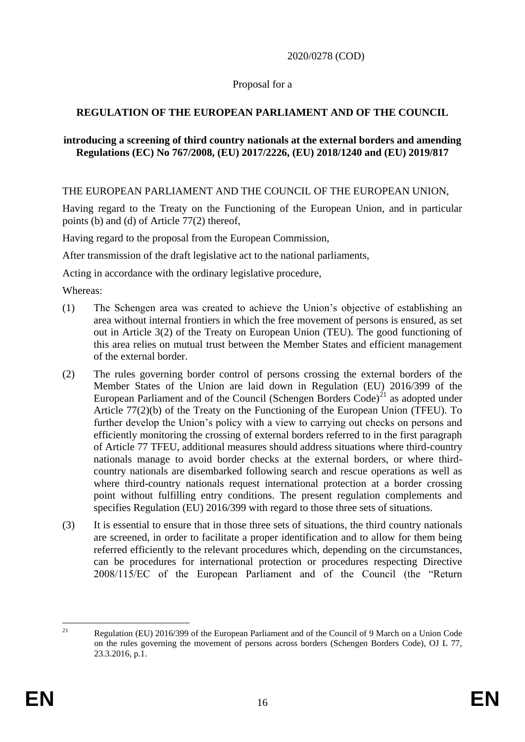2020/0278 (COD)

### Proposal for a

# **REGULATION OF THE EUROPEAN PARLIAMENT AND OF THE COUNCIL**

#### **introducing a screening of third country nationals at the external borders and amending Regulations (EC) No 767/2008, (EU) 2017/2226, (EU) 2018/1240 and (EU) 2019/817**

THE EUROPEAN PARLIAMENT AND THE COUNCIL OF THE EUROPEAN UNION,

Having regard to the Treaty on the Functioning of the European Union, and in particular points (b) and (d) of Article 77(2) thereof,

Having regard to the proposal from the European Commission,

After transmission of the draft legislative act to the national parliaments,

Acting in accordance with the ordinary legislative procedure,

Whereas:

- (1) The Schengen area was created to achieve the Union's objective of establishing an area without internal frontiers in which the free movement of persons is ensured, as set out in Article 3(2) of the Treaty on European Union (TEU). The good functioning of this area relies on mutual trust between the Member States and efficient management of the external border.
- (2) The rules governing border control of persons crossing the external borders of the Member States of the Union are laid down in Regulation (EU) 2016/399 of the European Parliament and of the Council (Schengen Borders Code)<sup>21</sup> as adopted under Article 77(2)(b) of the Treaty on the Functioning of the European Union (TFEU). To further develop the Union's policy with a view to carrying out checks on persons and efficiently monitoring the crossing of external borders referred to in the first paragraph of Article 77 TFEU, additional measures should address situations where third-country nationals manage to avoid border checks at the external borders, or where thirdcountry nationals are disembarked following search and rescue operations as well as where third-country nationals request international protection at a border crossing point without fulfilling entry conditions. The present regulation complements and specifies Regulation (EU) 2016/399 with regard to those three sets of situations.
- (3) It is essential to ensure that in those three sets of situations, the third country nationals are screened, in order to facilitate a proper identification and to allow for them being referred efficiently to the relevant procedures which, depending on the circumstances, can be procedures for international protection or procedures respecting Directive 2008/115/EC of the European Parliament and of the Council (the "Return

 $21$ <sup>21</sup> Regulation (EU) 2016/399 of the European Parliament and of the Council of 9 March on a Union Code on the rules governing the movement of persons across borders (Schengen Borders Code), OJ L 77, 23.3.2016, p.1.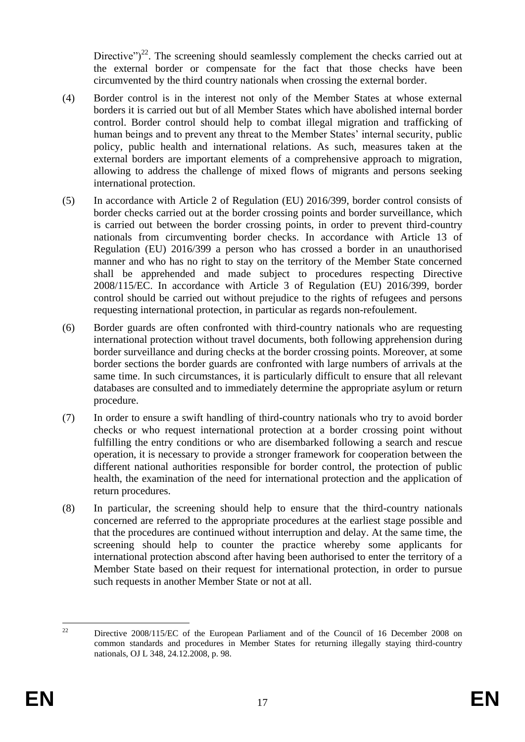Directive")<sup>22</sup>. The screening should seamlessly complement the checks carried out at the external border or compensate for the fact that those checks have been circumvented by the third country nationals when crossing the external border.

- (4) Border control is in the interest not only of the Member States at whose external borders it is carried out but of all Member States which have abolished internal border control. Border control should help to combat illegal migration and trafficking of human beings and to prevent any threat to the Member States' internal security, public policy, public health and international relations. As such, measures taken at the external borders are important elements of a comprehensive approach to migration, allowing to address the challenge of mixed flows of migrants and persons seeking international protection.
- (5) In accordance with Article 2 of Regulation (EU) 2016/399, border control consists of border checks carried out at the border crossing points and border surveillance, which is carried out between the border crossing points, in order to prevent third-country nationals from circumventing border checks. In accordance with Article 13 of Regulation (EU) 2016/399 a person who has crossed a border in an unauthorised manner and who has no right to stay on the territory of the Member State concerned shall be apprehended and made subject to procedures respecting Directive 2008/115/EC. In accordance with Article 3 of Regulation (EU) 2016/399, border control should be carried out without prejudice to the rights of refugees and persons requesting international protection, in particular as regards non-refoulement.
- (6) Border guards are often confronted with third-country nationals who are requesting international protection without travel documents, both following apprehension during border surveillance and during checks at the border crossing points. Moreover, at some border sections the border guards are confronted with large numbers of arrivals at the same time. In such circumstances, it is particularly difficult to ensure that all relevant databases are consulted and to immediately determine the appropriate asylum or return procedure.
- (7) In order to ensure a swift handling of third-country nationals who try to avoid border checks or who request international protection at a border crossing point without fulfilling the entry conditions or who are disembarked following a search and rescue operation, it is necessary to provide a stronger framework for cooperation between the different national authorities responsible for border control, the protection of public health, the examination of the need for international protection and the application of return procedures.
- (8) In particular, the screening should help to ensure that the third-country nationals concerned are referred to the appropriate procedures at the earliest stage possible and that the procedures are continued without interruption and delay. At the same time, the screening should help to counter the practice whereby some applicants for international protection abscond after having been authorised to enter the territory of a Member State based on their request for international protection, in order to pursue such requests in another Member State or not at all.

 $22$ <sup>22</sup> Directive 2008/115/EC of the European Parliament and of the Council of 16 December 2008 on common standards and procedures in Member States for returning illegally staying third-country nationals, OJ L 348, 24.12.2008, p. 98.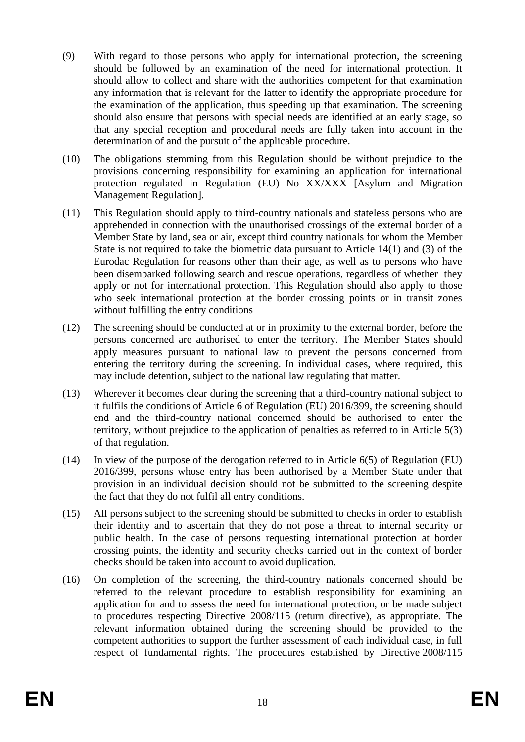- (9) With regard to those persons who apply for international protection, the screening should be followed by an examination of the need for international protection. It should allow to collect and share with the authorities competent for that examination any information that is relevant for the latter to identify the appropriate procedure for the examination of the application, thus speeding up that examination. The screening should also ensure that persons with special needs are identified at an early stage, so that any special reception and procedural needs are fully taken into account in the determination of and the pursuit of the applicable procedure.
- (10) The obligations stemming from this Regulation should be without prejudice to the provisions concerning responsibility for examining an application for international protection regulated in Regulation (EU) No XX/XXX [Asylum and Migration Management Regulation].
- (11) This Regulation should apply to third-country nationals and stateless persons who are apprehended in connection with the unauthorised crossings of the external border of a Member State by land, sea or air, except third country nationals for whom the Member State is not required to take the biometric data pursuant to Article 14(1) and (3) of the Eurodac Regulation for reasons other than their age, as well as to persons who have been disembarked following search and rescue operations, regardless of whether they apply or not for international protection. This Regulation should also apply to those who seek international protection at the border crossing points or in transit zones without fulfilling the entry conditions
- (12) The screening should be conducted at or in proximity to the external border, before the persons concerned are authorised to enter the territory. The Member States should apply measures pursuant to national law to prevent the persons concerned from entering the territory during the screening. In individual cases, where required, this may include detention, subject to the national law regulating that matter.
- (13) Wherever it becomes clear during the screening that a third-country national subject to it fulfils the conditions of Article 6 of Regulation (EU) 2016/399, the screening should end and the third-country national concerned should be authorised to enter the territory, without prejudice to the application of penalties as referred to in Article 5(3) of that regulation.
- (14) In view of the purpose of the derogation referred to in Article 6(5) of Regulation (EU) 2016/399, persons whose entry has been authorised by a Member State under that provision in an individual decision should not be submitted to the screening despite the fact that they do not fulfil all entry conditions.
- (15) All persons subject to the screening should be submitted to checks in order to establish their identity and to ascertain that they do not pose a threat to internal security or public health. In the case of persons requesting international protection at border crossing points, the identity and security checks carried out in the context of border checks should be taken into account to avoid duplication.
- (16) On completion of the screening, the third-country nationals concerned should be referred to the relevant procedure to establish responsibility for examining an application for and to assess the need for international protection, or be made subject to procedures respecting Directive 2008/115 (return directive), as appropriate. The relevant information obtained during the screening should be provided to the competent authorities to support the further assessment of each individual case, in full respect of fundamental rights. The procedures established by Directive 2008/115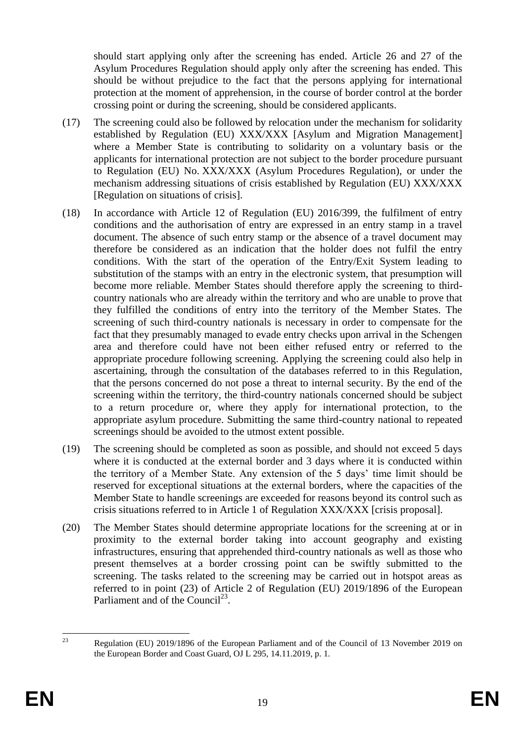should start applying only after the screening has ended. Article 26 and 27 of the Asylum Procedures Regulation should apply only after the screening has ended. This should be without prejudice to the fact that the persons applying for international protection at the moment of apprehension, in the course of border control at the border crossing point or during the screening, should be considered applicants.

- (17) The screening could also be followed by relocation under the mechanism for solidarity established by Regulation (EU) XXX/XXX [Asylum and Migration Management] where a Member State is contributing to solidarity on a voluntary basis or the applicants for international protection are not subject to the border procedure pursuant to Regulation (EU) No. XXX/XXX (Asylum Procedures Regulation), or under the mechanism addressing situations of crisis established by Regulation (EU) XXX/XXX [Regulation on situations of crisis].
- (18) In accordance with Article 12 of Regulation (EU) 2016/399, the fulfilment of entry conditions and the authorisation of entry are expressed in an entry stamp in a travel document. The absence of such entry stamp or the absence of a travel document may therefore be considered as an indication that the holder does not fulfil the entry conditions. With the start of the operation of the Entry/Exit System leading to substitution of the stamps with an entry in the electronic system, that presumption will become more reliable. Member States should therefore apply the screening to thirdcountry nationals who are already within the territory and who are unable to prove that they fulfilled the conditions of entry into the territory of the Member States. The screening of such third-country nationals is necessary in order to compensate for the fact that they presumably managed to evade entry checks upon arrival in the Schengen area and therefore could have not been either refused entry or referred to the appropriate procedure following screening. Applying the screening could also help in ascertaining, through the consultation of the databases referred to in this Regulation, that the persons concerned do not pose a threat to internal security. By the end of the screening within the territory, the third-country nationals concerned should be subject to a return procedure or, where they apply for international protection, to the appropriate asylum procedure. Submitting the same third-country national to repeated screenings should be avoided to the utmost extent possible.
- (19) The screening should be completed as soon as possible, and should not exceed 5 days where it is conducted at the external border and 3 days where it is conducted within the territory of a Member State. Any extension of the 5 days' time limit should be reserved for exceptional situations at the external borders, where the capacities of the Member State to handle screenings are exceeded for reasons beyond its control such as crisis situations referred to in Article 1 of Regulation XXX/XXX [crisis proposal].
- (20) The Member States should determine appropriate locations for the screening at or in proximity to the external border taking into account geography and existing infrastructures, ensuring that apprehended third-country nationals as well as those who present themselves at a border crossing point can be swiftly submitted to the screening. The tasks related to the screening may be carried out in hotspot areas as referred to in point (23) of Article 2 of Regulation (EU) 2019/1896 of the European Parliament and of the Council<sup>23</sup>.

 $2<sub>3</sub>$ <sup>23</sup> Regulation (EU) 2019/1896 of the European Parliament and of the Council of 13 November 2019 on the European Border and Coast Guard, OJ L 295, 14.11.2019, p. 1.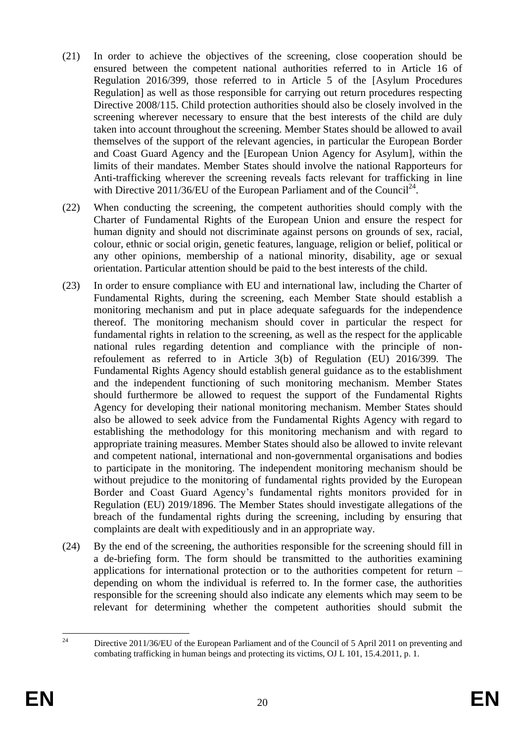- (21) In order to achieve the objectives of the screening, close cooperation should be ensured between the competent national authorities referred to in Article 16 of Regulation 2016/399, those referred to in Article 5 of the [Asylum Procedures Regulation] as well as those responsible for carrying out return procedures respecting Directive 2008/115. Child protection authorities should also be closely involved in the screening wherever necessary to ensure that the best interests of the child are duly taken into account throughout the screening. Member States should be allowed to avail themselves of the support of the relevant agencies, in particular the European Border and Coast Guard Agency and the [European Union Agency for Asylum], within the limits of their mandates. Member States should involve the national Rapporteurs for Anti-trafficking wherever the screening reveals facts relevant for trafficking in line with Directive  $2011/36$ /EU of the European Parliament and of the Council<sup>24</sup>.
- (22) When conducting the screening, the competent authorities should comply with the Charter of Fundamental Rights of the European Union and ensure the respect for human dignity and should not discriminate against persons on grounds of sex, racial, colour, ethnic or social origin, genetic features, language, religion or belief, political or any other opinions, membership of a national minority, disability, age or sexual orientation. Particular attention should be paid to the best interests of the child.
- (23) In order to ensure compliance with EU and international law, including the Charter of Fundamental Rights, during the screening, each Member State should establish a monitoring mechanism and put in place adequate safeguards for the independence thereof. The monitoring mechanism should cover in particular the respect for fundamental rights in relation to the screening, as well as the respect for the applicable national rules regarding detention and compliance with the principle of nonrefoulement as referred to in Article 3(b) of Regulation (EU) 2016/399. The Fundamental Rights Agency should establish general guidance as to the establishment and the independent functioning of such monitoring mechanism. Member States should furthermore be allowed to request the support of the Fundamental Rights Agency for developing their national monitoring mechanism. Member States should also be allowed to seek advice from the Fundamental Rights Agency with regard to establishing the methodology for this monitoring mechanism and with regard to appropriate training measures. Member States should also be allowed to invite relevant and competent national, international and non-governmental organisations and bodies to participate in the monitoring. The independent monitoring mechanism should be without prejudice to the monitoring of fundamental rights provided by the European Border and Coast Guard Agency's fundamental rights monitors provided for in Regulation (EU) 2019/1896. The Member States should investigate allegations of the breach of the fundamental rights during the screening, including by ensuring that complaints are dealt with expeditiously and in an appropriate way.
- (24) By the end of the screening, the authorities responsible for the screening should fill in a de-briefing form. The form should be transmitted to the authorities examining applications for international protection or to the authorities competent for return – depending on whom the individual is referred to. In the former case, the authorities responsible for the screening should also indicate any elements which may seem to be relevant for determining whether the competent authorities should submit the

 $\overline{24}$ Directive 2011/36/EU of the European Parliament and of the Council of 5 April 2011 on preventing and combating trafficking in human beings and protecting its victims, OJ L 101, 15.4.2011, p. 1.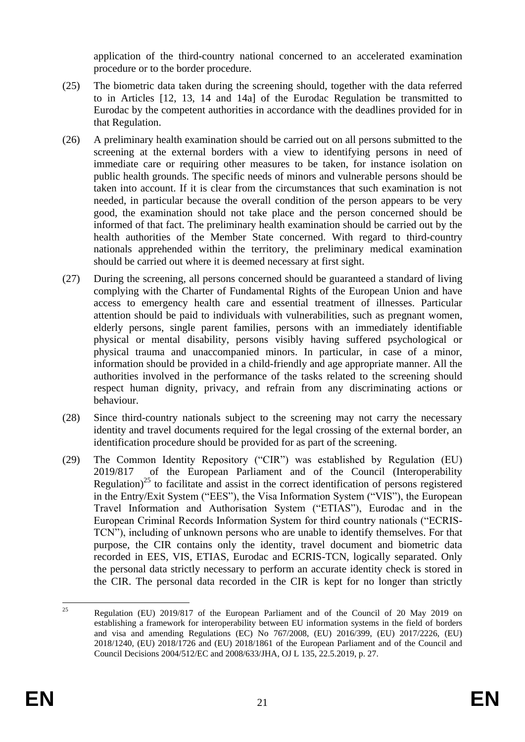application of the third-country national concerned to an accelerated examination procedure or to the border procedure.

- (25) The biometric data taken during the screening should, together with the data referred to in Articles [12, 13, 14 and 14a] of the Eurodac Regulation be transmitted to Eurodac by the competent authorities in accordance with the deadlines provided for in that Regulation.
- (26) A preliminary health examination should be carried out on all persons submitted to the screening at the external borders with a view to identifying persons in need of immediate care or requiring other measures to be taken, for instance isolation on public health grounds. The specific needs of minors and vulnerable persons should be taken into account. If it is clear from the circumstances that such examination is not needed, in particular because the overall condition of the person appears to be very good, the examination should not take place and the person concerned should be informed of that fact. The preliminary health examination should be carried out by the health authorities of the Member State concerned. With regard to third-country nationals apprehended within the territory, the preliminary medical examination should be carried out where it is deemed necessary at first sight.
- (27) During the screening, all persons concerned should be guaranteed a standard of living complying with the Charter of Fundamental Rights of the European Union and have access to emergency health care and essential treatment of illnesses. Particular attention should be paid to individuals with vulnerabilities, such as pregnant women, elderly persons, single parent families, persons with an immediately identifiable physical or mental disability, persons visibly having suffered psychological or physical trauma and unaccompanied minors. In particular, in case of a minor, information should be provided in a child-friendly and age appropriate manner. All the authorities involved in the performance of the tasks related to the screening should respect human dignity, privacy, and refrain from any discriminating actions or behaviour.
- (28) Since third-country nationals subject to the screening may not carry the necessary identity and travel documents required for the legal crossing of the external border, an identification procedure should be provided for as part of the screening.
- (29) The Common Identity Repository ("CIR") was established by Regulation (EU) 2019/817 of the European Parliament and of the Council (Interoperability Regulation)<sup>25</sup> to facilitate and assist in the correct identification of persons registered in the Entry/Exit System ("EES"), the Visa Information System ("VIS"), the European Travel Information and Authorisation System ("ETIAS"), Eurodac and in the European Criminal Records Information System for third country nationals ("ECRIS-TCN"), including of unknown persons who are unable to identify themselves. For that purpose, the CIR contains only the identity, travel document and biometric data recorded in EES, VIS, ETIAS, Eurodac and ECRIS-TCN, logically separated. Only the personal data strictly necessary to perform an accurate identity check is stored in the CIR. The personal data recorded in the CIR is kept for no longer than strictly

 $25$ <sup>25</sup> Regulation (EU) 2019/817 of the European Parliament and of the Council of 20 May 2019 on establishing a framework for interoperability between EU information systems in the field of borders and visa and amending Regulations (EC) No 767/2008, (EU) 2016/399, (EU) 2017/2226, (EU) 2018/1240, (EU) 2018/1726 and (EU) 2018/1861 of the European Parliament and of the Council and Council Decisions 2004/512/EC and 2008/633/JHA, OJ L 135, 22.5.2019, p. 27.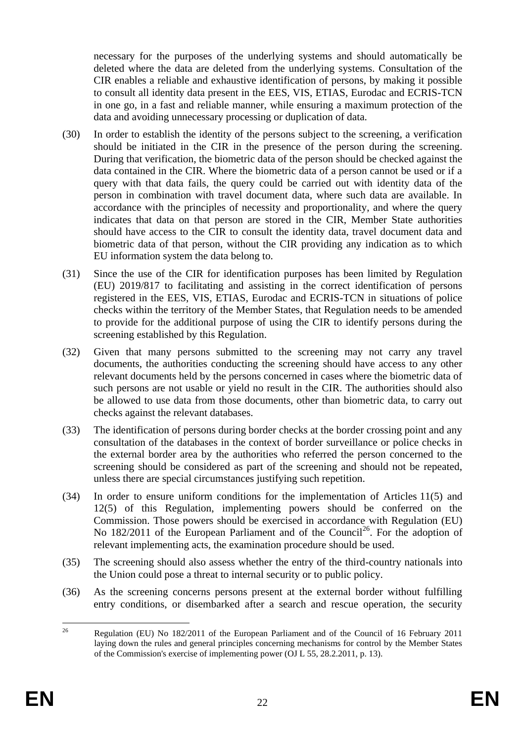necessary for the purposes of the underlying systems and should automatically be deleted where the data are deleted from the underlying systems. Consultation of the CIR enables a reliable and exhaustive identification of persons, by making it possible to consult all identity data present in the EES, VIS, ETIAS, Eurodac and ECRIS-TCN in one go, in a fast and reliable manner, while ensuring a maximum protection of the data and avoiding unnecessary processing or duplication of data.

- (30) In order to establish the identity of the persons subject to the screening, a verification should be initiated in the CIR in the presence of the person during the screening. During that verification, the biometric data of the person should be checked against the data contained in the CIR. Where the biometric data of a person cannot be used or if a query with that data fails, the query could be carried out with identity data of the person in combination with travel document data, where such data are available. In accordance with the principles of necessity and proportionality, and where the query indicates that data on that person are stored in the CIR, Member State authorities should have access to the CIR to consult the identity data, travel document data and biometric data of that person, without the CIR providing any indication as to which EU information system the data belong to.
- (31) Since the use of the CIR for identification purposes has been limited by Regulation (EU) 2019/817 to facilitating and assisting in the correct identification of persons registered in the EES, VIS, ETIAS, Eurodac and ECRIS-TCN in situations of police checks within the territory of the Member States, that Regulation needs to be amended to provide for the additional purpose of using the CIR to identify persons during the screening established by this Regulation.
- (32) Given that many persons submitted to the screening may not carry any travel documents, the authorities conducting the screening should have access to any other relevant documents held by the persons concerned in cases where the biometric data of such persons are not usable or yield no result in the CIR. The authorities should also be allowed to use data from those documents, other than biometric data, to carry out checks against the relevant databases.
- (33) The identification of persons during border checks at the border crossing point and any consultation of the databases in the context of border surveillance or police checks in the external border area by the authorities who referred the person concerned to the screening should be considered as part of the screening and should not be repeated, unless there are special circumstances justifying such repetition.
- (34) In order to ensure uniform conditions for the implementation of Articles 11(5) and 12(5) of this Regulation, implementing powers should be conferred on the Commission. Those powers should be exercised in accordance with Regulation (EU) No 182/2011 of the European Parliament and of the Council<sup>26</sup>. For the adoption of relevant implementing acts, the examination procedure should be used.
- (35) The screening should also assess whether the entry of the third-country nationals into the Union could pose a threat to internal security or to public policy.
- (36) As the screening concerns persons present at the external border without fulfilling entry conditions, or disembarked after a search and rescue operation, the security

 $26$ <sup>26</sup> Regulation (EU) No 182/2011 of the European Parliament and of the Council of 16 February 2011 laying down the rules and general principles concerning mechanisms for control by the Member States of the Commission's exercise of implementing power (OJ L 55, 28.2.2011, p. 13).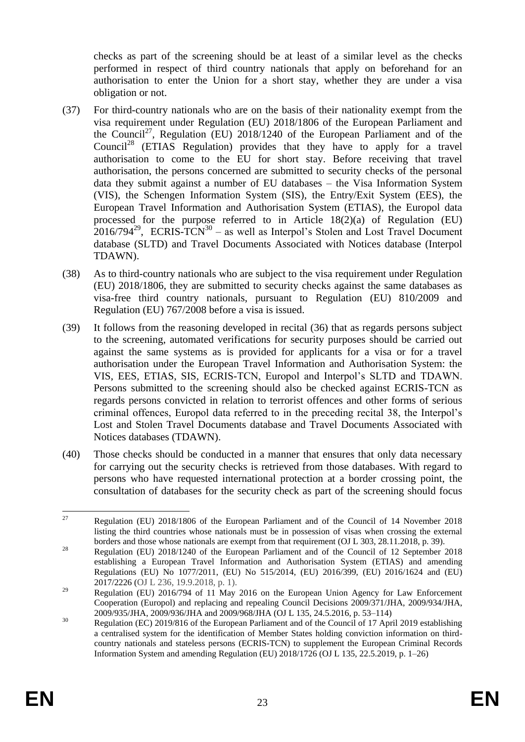checks as part of the screening should be at least of a similar level as the checks performed in respect of third country nationals that apply on beforehand for an authorisation to enter the Union for a short stay, whether they are under a visa obligation or not.

- (37) For third-country nationals who are on the basis of their nationality exempt from the visa requirement under Regulation (EU) 2018/1806 of the European Parliament and the Council<sup>27</sup>, Regulation (EU) 2018/1240 of the European Parliament and of the Council<sup>28</sup> (ETIAS Regulation) provides that they have to apply for a travel authorisation to come to the EU for short stay. Before receiving that travel authorisation, the persons concerned are submitted to security checks of the personal data they submit against a number of EU databases – the Visa Information System (VIS), the Schengen Information System (SIS), the Entry/Exit System (EES), the European Travel Information and Authorisation System (ETIAS), the Europol data processed for the purpose referred to in Article 18(2)(a) of Regulation (EU)  $2016/794^{29}$ , ECRIS-TCN<sup>30</sup> – as well as Interpol's Stolen and Lost Travel Document database (SLTD) and Travel Documents Associated with Notices database (Interpol TDAWN).
- (38) As to third-country nationals who are subject to the visa requirement under Regulation (EU) 2018/1806, they are submitted to security checks against the same databases as visa-free third country nationals, pursuant to Regulation (EU) 810/2009 and Regulation (EU) 767/2008 before a visa is issued.
- (39) It follows from the reasoning developed in recital (36) that as regards persons subject to the screening, automated verifications for security purposes should be carried out against the same systems as is provided for applicants for a visa or for a travel authorisation under the European Travel Information and Authorisation System: the VIS, EES, ETIAS, SIS, ECRIS-TCN, Europol and Interpol's SLTD and TDAWN. Persons submitted to the screening should also be checked against ECRIS-TCN as regards persons convicted in relation to terrorist offences and other forms of serious criminal offences, Europol data referred to in the preceding recital 38, the Interpol's Lost and Stolen Travel Documents database and Travel Documents Associated with Notices databases (TDAWN).
- (40) Those checks should be conducted in a manner that ensures that only data necessary for carrying out the security checks is retrieved from those databases. With regard to persons who have requested international protection at a border crossing point, the consultation of databases for the security check as part of the screening should focus

 $27$ <sup>27</sup> Regulation (EU) 2018/1806 of the European Parliament and of the Council of 14 November 2018 listing the third countries whose nationals must be in possession of visas when crossing the external borders and those whose nationals are exempt from that requirement (OJ L 303, 28.11.2018, p. 39).

<sup>&</sup>lt;sup>28</sup> Regulation (EU) 2018/1240 of the European Parliament and of the Council of 12 September 2018 establishing a European Travel Information and Authorisation System (ETIAS) and amending Regulations (EU) No 1077/2011, (EU) No 515/2014, (EU) 2016/399, (EU) 2016/1624 and (EU) 2017/2226 (OJ L 236, 19.9.2018, p. 1).

<sup>&</sup>lt;sup>29</sup> Regulation (EU) 2016/794 of 11 May 2016 on the European Union Agency for Law Enforcement Cooperation (Europol) and replacing and repealing Council Decisions 2009/371/JHA, 2009/934/JHA, 2009/935/JHA, 2009/936/JHA and 2009/968/JHA (OJ L 135, 24.5.2016, p. 53–114)

<sup>&</sup>lt;sup>30</sup> Regulation (EC) 2019/816 of the European Parliament and of the Council of 17 April 2019 establishing a centralised system for the identification of Member States holding conviction information on thirdcountry nationals and stateless persons (ECRIS-TCN) to supplement the European Criminal Records Information System and amending Regulation (EU) 2018/1726 (OJ L 135, 22.5.2019, p. 1–26)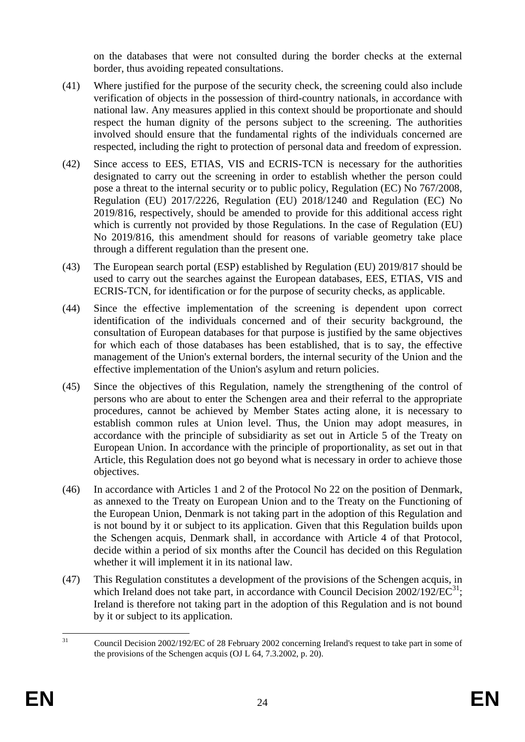on the databases that were not consulted during the border checks at the external border, thus avoiding repeated consultations.

- (41) Where justified for the purpose of the security check, the screening could also include verification of objects in the possession of third-country nationals, in accordance with national law. Any measures applied in this context should be proportionate and should respect the human dignity of the persons subject to the screening. The authorities involved should ensure that the fundamental rights of the individuals concerned are respected, including the right to protection of personal data and freedom of expression.
- (42) Since access to EES, ETIAS, VIS and ECRIS-TCN is necessary for the authorities designated to carry out the screening in order to establish whether the person could pose a threat to the internal security or to public policy, Regulation (EC) No 767/2008, Regulation (EU) 2017/2226, Regulation (EU) 2018/1240 and Regulation (EC) No 2019/816, respectively, should be amended to provide for this additional access right which is currently not provided by those Regulations. In the case of Regulation (EU) No 2019/816, this amendment should for reasons of variable geometry take place through a different regulation than the present one.
- (43) The European search portal (ESP) established by Regulation (EU) 2019/817 should be used to carry out the searches against the European databases, EES, ETIAS, VIS and ECRIS-TCN, for identification or for the purpose of security checks, as applicable.
- (44) Since the effective implementation of the screening is dependent upon correct identification of the individuals concerned and of their security background, the consultation of European databases for that purpose is justified by the same objectives for which each of those databases has been established, that is to say, the effective management of the Union's external borders, the internal security of the Union and the effective implementation of the Union's asylum and return policies.
- (45) Since the objectives of this Regulation, namely the strengthening of the control of persons who are about to enter the Schengen area and their referral to the appropriate procedures, cannot be achieved by Member States acting alone, it is necessary to establish common rules at Union level. Thus, the Union may adopt measures, in accordance with the principle of subsidiarity as set out in Article 5 of the Treaty on European Union. In accordance with the principle of proportionality, as set out in that Article, this Regulation does not go beyond what is necessary in order to achieve those objectives.
- (46) In accordance with Articles 1 and 2 of the Protocol No 22 on the position of Denmark, as annexed to the Treaty on European Union and to the Treaty on the Functioning of the European Union, Denmark is not taking part in the adoption of this Regulation and is not bound by it or subject to its application. Given that this Regulation builds upon the Schengen acquis, Denmark shall, in accordance with Article 4 of that Protocol, decide within a period of six months after the Council has decided on this Regulation whether it will implement it in its national law.
- (47) This Regulation constitutes a development of the provisions of the Schengen acquis, in which Ireland does not take part, in accordance with Council Decision  $2002/192/EC^{31}$ ; Ireland is therefore not taking part in the adoption of this Regulation and is not bound by it or subject to its application.

 $31$ <sup>31</sup> Council Decision 2002/192/EC of 28 February 2002 concerning Ireland's request to take part in some of the provisions of the Schengen acquis (OJ L 64, 7.3.2002, p. 20).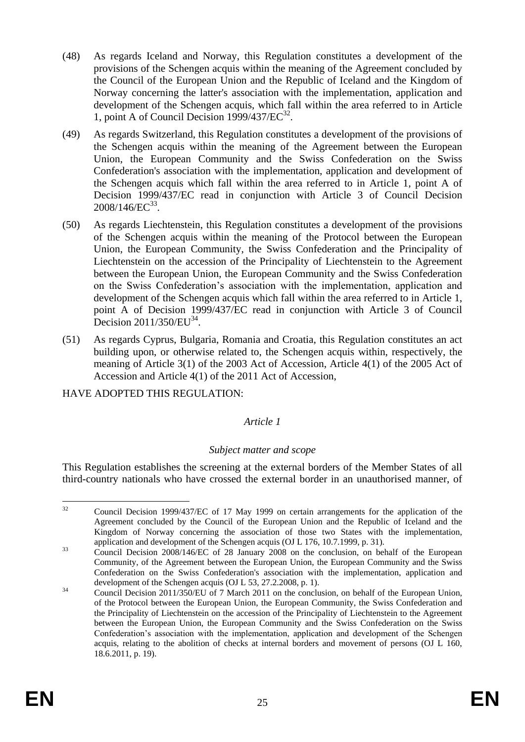- (48) As regards Iceland and Norway, this Regulation constitutes a development of the provisions of the Schengen acquis within the meaning of the Agreement concluded by the Council of the European Union and the Republic of Iceland and the Kingdom of Norway concerning the latter's association with the implementation, application and development of the Schengen acquis, which fall within the area referred to in Article 1, point A of Council Decision  $1999/437/EC^{32}$ .
- (49) As regards Switzerland, this Regulation constitutes a development of the provisions of the Schengen acquis within the meaning of the Agreement between the European Union, the European Community and the Swiss Confederation on the Swiss Confederation's association with the implementation, application and development of the Schengen acquis which fall within the area referred to in Article 1, point A of Decision 1999/437/EC read in conjunction with Article 3 of Council Decision  $2008/146$ /EC<sup>33</sup>.
- (50) As regards Liechtenstein, this Regulation constitutes a development of the provisions of the Schengen acquis within the meaning of the Protocol between the European Union, the European Community, the Swiss Confederation and the Principality of Liechtenstein on the accession of the Principality of Liechtenstein to the Agreement between the European Union, the European Community and the Swiss Confederation on the Swiss Confederation's association with the implementation, application and development of the Schengen acquis which fall within the area referred to in Article 1, point A of Decision 1999/437/EC read in conjunction with Article 3 of Council Decision  $2011/350/EU^{34}$ .
- (51) As regards Cyprus, Bulgaria, Romania and Croatia, this Regulation constitutes an act building upon, or otherwise related to, the Schengen acquis within, respectively, the meaning of Article 3(1) of the 2003 Act of Accession, Article 4(1) of the 2005 Act of Accession and Article 4(1) of the 2011 Act of Accession,

HAVE ADOPTED THIS REGULATION:

### *Article 1*

### *Subject matter and scope*

This Regulation establishes the screening at the external borders of the Member States of all third-country nationals who have crossed the external border in an unauthorised manner, of

 $32$ <sup>32</sup> Council Decision 1999/437/EC of 17 May 1999 on certain arrangements for the application of the Agreement concluded by the Council of the European Union and the Republic of Iceland and the Kingdom of Norway concerning the association of those two States with the implementation, application and development of the Schengen acquis (OJ L 176, 10.7.1999, p. 31).

<sup>&</sup>lt;sup>33</sup> Council Decision 2008/146/EC of 28 January 2008 on the conclusion, on behalf of the European Community, of the Agreement between the European Union, the European Community and the Swiss Confederation on the Swiss Confederation's association with the implementation, application and development of the Schengen acquis (OJ L 53, 27.2.2008, p. 1).

 $34$  Council Decision 2011/350/EU of 7 March 2011 on the conclusion, on behalf of the European Union, of the Protocol between the European Union, the European Community, the Swiss Confederation and the Principality of Liechtenstein on the accession of the Principality of Liechtenstein to the Agreement between the European Union, the European Community and the Swiss Confederation on the Swiss Confederation's association with the implementation, application and development of the Schengen acquis, relating to the abolition of checks at internal borders and movement of persons (OJ L 160, 18.6.2011, p. 19).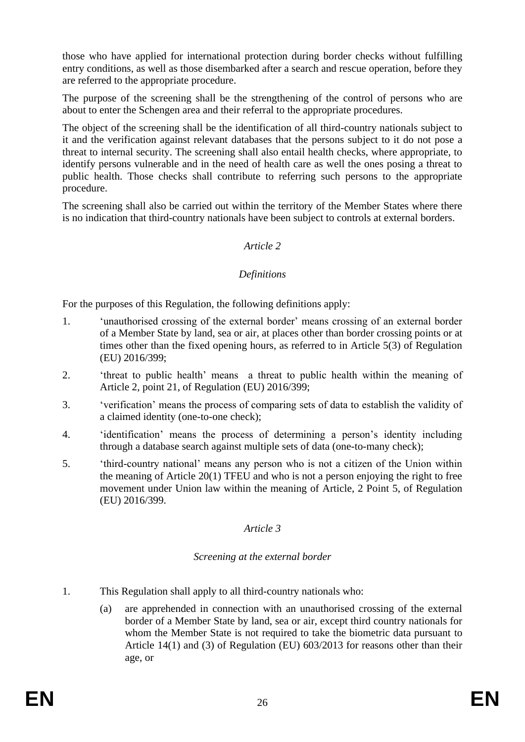those who have applied for international protection during border checks without fulfilling entry conditions, as well as those disembarked after a search and rescue operation, before they are referred to the appropriate procedure.

The purpose of the screening shall be the strengthening of the control of persons who are about to enter the Schengen area and their referral to the appropriate procedures.

The object of the screening shall be the identification of all third-country nationals subject to it and the verification against relevant databases that the persons subject to it do not pose a threat to internal security. The screening shall also entail health checks, where appropriate, to identify persons vulnerable and in the need of health care as well the ones posing a threat to public health. Those checks shall contribute to referring such persons to the appropriate procedure.

The screening shall also be carried out within the territory of the Member States where there is no indication that third-country nationals have been subject to controls at external borders.

#### *Article 2*

#### *Definitions*

For the purposes of this Regulation, the following definitions apply:

- 1. 'unauthorised crossing of the external border' means crossing of an external border of a Member State by land, sea or air, at places other than border crossing points or at times other than the fixed opening hours, as referred to in Article 5(3) of Regulation (EU) 2016/399;
- 2. 'threat to public health' means a threat to public health within the meaning of Article 2, point 21, of Regulation (EU) 2016/399;
- 3. 'verification' means the process of comparing sets of data to establish the validity of a claimed identity (one-to-one check);
- 4. 'identification' means the process of determining a person's identity including through a database search against multiple sets of data (one-to-many check);
- 5. 'third-country national' means any person who is not a citizen of the Union within the meaning of Article 20(1) TFEU and who is not a person enjoying the right to free movement under Union law within the meaning of Article, 2 Point 5, of Regulation (EU) 2016/399.

### *Article 3*

#### *Screening at the external border*

- 1. This Regulation shall apply to all third-country nationals who:
	- (a) are apprehended in connection with an unauthorised crossing of the external border of a Member State by land, sea or air, except third country nationals for whom the Member State is not required to take the biometric data pursuant to Article 14(1) and (3) of Regulation (EU) 603/2013 for reasons other than their age, or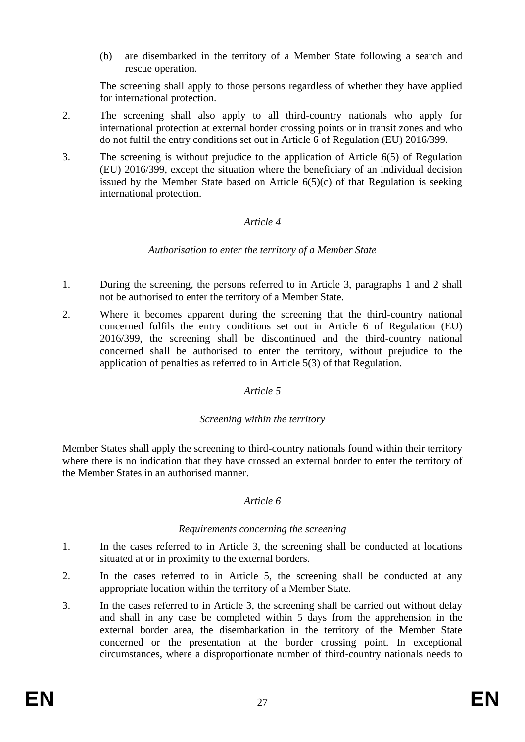(b) are disembarked in the territory of a Member State following a search and rescue operation.

The screening shall apply to those persons regardless of whether they have applied for international protection.

- 2. The screening shall also apply to all third-country nationals who apply for international protection at external border crossing points or in transit zones and who do not fulfil the entry conditions set out in Article 6 of Regulation (EU) 2016/399.
- 3. The screening is without prejudice to the application of Article 6(5) of Regulation (EU) 2016/399, except the situation where the beneficiary of an individual decision issued by the Member State based on Article  $6(5)(c)$  of that Regulation is seeking international protection.

#### *Article 4*

#### *Authorisation to enter the territory of a Member State*

- 1. During the screening, the persons referred to in Article 3, paragraphs 1 and 2 shall not be authorised to enter the territory of a Member State.
- 2. Where it becomes apparent during the screening that the third-country national concerned fulfils the entry conditions set out in Article 6 of Regulation (EU) 2016/399, the screening shall be discontinued and the third-country national concerned shall be authorised to enter the territory, without prejudice to the application of penalties as referred to in Article 5(3) of that Regulation.

#### *Article 5*

### *Screening within the territory*

Member States shall apply the screening to third-country nationals found within their territory where there is no indication that they have crossed an external border to enter the territory of the Member States in an authorised manner.

### *Article 6*

#### *Requirements concerning the screening*

- 1. In the cases referred to in Article 3, the screening shall be conducted at locations situated at or in proximity to the external borders.
- 2. In the cases referred to in Article 5, the screening shall be conducted at any appropriate location within the territory of a Member State.
- 3. In the cases referred to in Article 3, the screening shall be carried out without delay and shall in any case be completed within 5 days from the apprehension in the external border area, the disembarkation in the territory of the Member State concerned or the presentation at the border crossing point. In exceptional circumstances, where a disproportionate number of third-country nationals needs to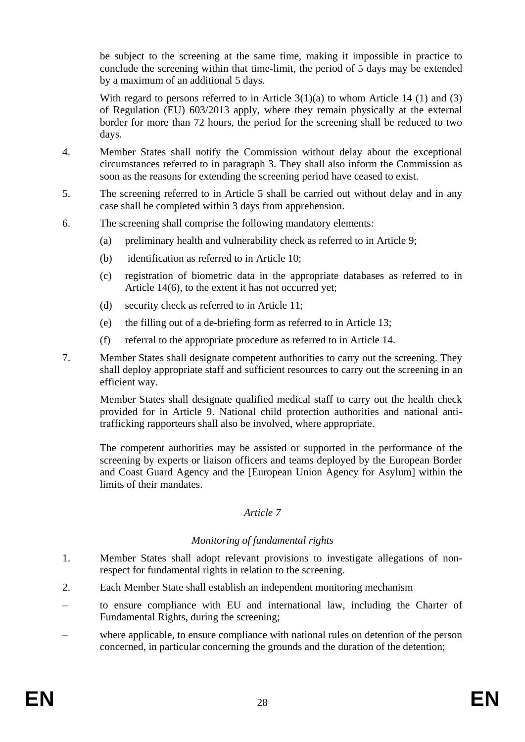be subject to the screening at the same time, making it impossible in practice to conclude the screening within that time-limit, the period of 5 days may be extended by a maximum of an additional 5 days.

With regard to persons referred to in Article  $3(1)(a)$  to whom Article 14 (1) and (3) of Regulation (EU) 603/2013 apply, where they remain physically at the external border for more than 72 hours, the period for the screening shall be reduced to two days.

- 4. Member States shall notify the Commission without delay about the exceptional circumstances referred to in paragraph 3. They shall also inform the Commission as soon as the reasons for extending the screening period have ceased to exist.
- 5. The screening referred to in Article 5 shall be carried out without delay and in any case shall be completed within 3 days from apprehension.
- 6. The screening shall comprise the following mandatory elements:
	- (a) preliminary health and vulnerability check as referred to in Article 9;
	- (b) identification as referred to in Article 10;
	- (c) registration of biometric data in the appropriate databases as referred to in Article 14(6), to the extent it has not occurred yet;
	- (d) security check as referred to in Article 11;
	- (e) the filling out of a de-briefing form as referred to in Article 13;
	- (f) referral to the appropriate procedure as referred to in Article 14.
- 7. Member States shall designate competent authorities to carry out the screening. They shall deploy appropriate staff and sufficient resources to carry out the screening in an efficient way.

Member States shall designate qualified medical staff to carry out the health check provided for in Article 9. National child protection authorities and national antitrafficking rapporteurs shall also be involved, where appropriate.

The competent authorities may be assisted or supported in the performance of the screening by experts or liaison officers and teams deployed by the European Border and Coast Guard Agency and the [European Union Agency for Asylum] within the limits of their mandates.

#### *Article 7*

### *Monitoring of fundamental rights*

- 1. Member States shall adopt relevant provisions to investigate allegations of nonrespect for fundamental rights in relation to the screening.
- 2. Each Member State shall establish an independent monitoring mechanism
- to ensure compliance with EU and international law, including the Charter of Fundamental Rights, during the screening;
- where applicable, to ensure compliance with national rules on detention of the person concerned, in particular concerning the grounds and the duration of the detention;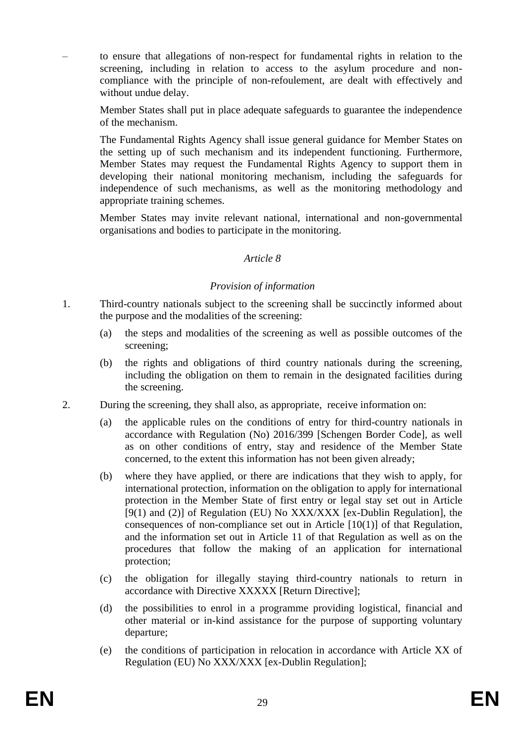– to ensure that allegations of non-respect for fundamental rights in relation to the screening, including in relation to access to the asylum procedure and noncompliance with the principle of non-refoulement, are dealt with effectively and without undue delay.

Member States shall put in place adequate safeguards to guarantee the independence of the mechanism.

The Fundamental Rights Agency shall issue general guidance for Member States on the setting up of such mechanism and its independent functioning. Furthermore, Member States may request the Fundamental Rights Agency to support them in developing their national monitoring mechanism, including the safeguards for independence of such mechanisms, as well as the monitoring methodology and appropriate training schemes.

Member States may invite relevant national, international and non-governmental organisations and bodies to participate in the monitoring.

#### *Article 8*

#### *Provision of information*

- 1. Third-country nationals subject to the screening shall be succinctly informed about the purpose and the modalities of the screening:
	- (a) the steps and modalities of the screening as well as possible outcomes of the screening;
	- (b) the rights and obligations of third country nationals during the screening, including the obligation on them to remain in the designated facilities during the screening.
- 2. During the screening, they shall also, as appropriate, receive information on:
	- (a) the applicable rules on the conditions of entry for third-country nationals in accordance with Regulation (No) 2016/399 [Schengen Border Code], as well as on other conditions of entry, stay and residence of the Member State concerned, to the extent this information has not been given already;
	- (b) where they have applied, or there are indications that they wish to apply, for international protection, information on the obligation to apply for international protection in the Member State of first entry or legal stay set out in Article [9(1) and (2)] of Regulation (EU) No XXX/XXX [ex-Dublin Regulation], the consequences of non-compliance set out in Article [10(1)] of that Regulation, and the information set out in Article 11 of that Regulation as well as on the procedures that follow the making of an application for international protection;
	- (c) the obligation for illegally staying third-country nationals to return in accordance with Directive XXXXX [Return Directive];
	- (d) the possibilities to enrol in a programme providing logistical, financial and other material or in-kind assistance for the purpose of supporting voluntary departure;
	- (e) the conditions of participation in relocation in accordance with Article XX of Regulation (EU) No XXX/XXX [ex-Dublin Regulation];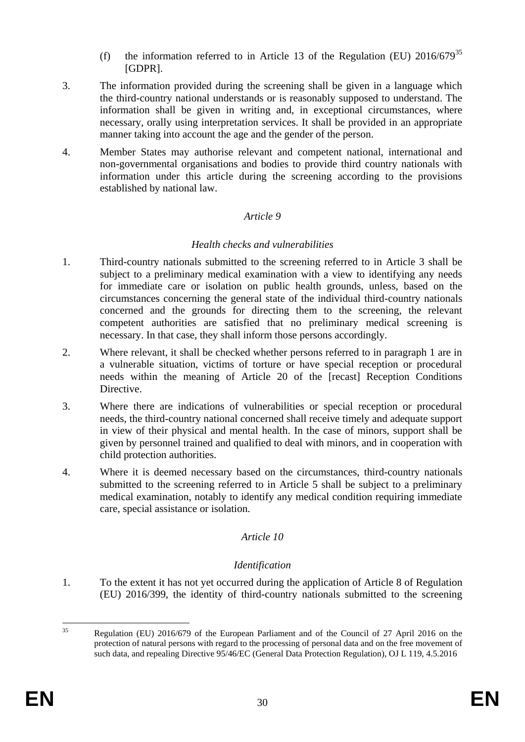- (f) the information referred to in Article 13 of the Regulation (EU)  $2016/679^{35}$ [GDPR].
- 3. The information provided during the screening shall be given in a language which the third-country national understands or is reasonably supposed to understand. The information shall be given in writing and, in exceptional circumstances, where necessary, orally using interpretation services. It shall be provided in an appropriate manner taking into account the age and the gender of the person.
- 4. Member States may authorise relevant and competent national, international and non-governmental organisations and bodies to provide third country nationals with information under this article during the screening according to the provisions established by national law.

### *Article 9*

### *Health checks and vulnerabilities*

- 1. Third-country nationals submitted to the screening referred to in Article 3 shall be subject to a preliminary medical examination with a view to identifying any needs for immediate care or isolation on public health grounds, unless, based on the circumstances concerning the general state of the individual third-country nationals concerned and the grounds for directing them to the screening, the relevant competent authorities are satisfied that no preliminary medical screening is necessary. In that case, they shall inform those persons accordingly.
- 2. Where relevant, it shall be checked whether persons referred to in paragraph 1 are in a vulnerable situation, victims of torture or have special reception or procedural needs within the meaning of Article 20 of the [recast] Reception Conditions Directive.
- 3. Where there are indications of vulnerabilities or special reception or procedural needs, the third-country national concerned shall receive timely and adequate support in view of their physical and mental health. In the case of minors, support shall be given by personnel trained and qualified to deal with minors, and in cooperation with child protection authorities.
- 4. Where it is deemed necessary based on the circumstances, third-country nationals submitted to the screening referred to in Article 5 shall be subject to a preliminary medical examination, notably to identify any medical condition requiring immediate care, special assistance or isolation.

### *Article 10*

#### *Identification*

1. To the extent it has not yet occurred during the application of Article 8 of Regulation (EU) 2016/399, the identity of third-country nationals submitted to the screening

 $35$ <sup>35</sup> Regulation (EU) 2016/679 of the European Parliament and of the Council of 27 April 2016 on the protection of natural persons with regard to the processing of personal data and on the free movement of such data, and repealing Directive 95/46/EC (General Data Protection Regulation), OJ L 119, 4.5.2016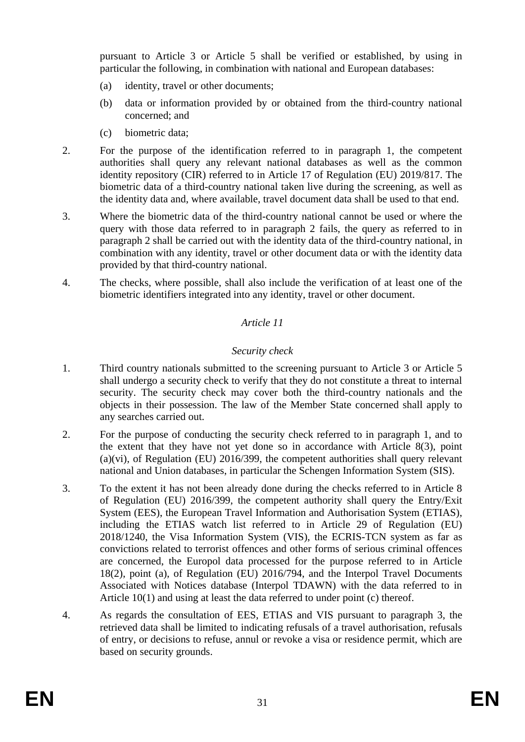pursuant to Article 3 or Article 5 shall be verified or established, by using in particular the following, in combination with national and European databases:

- (a) identity, travel or other documents;
- (b) data or information provided by or obtained from the third-country national concerned; and
- (c) biometric data;
- 2. For the purpose of the identification referred to in paragraph 1, the competent authorities shall query any relevant national databases as well as the common identity repository (CIR) referred to in Article 17 of Regulation (EU) 2019/817. The biometric data of a third-country national taken live during the screening, as well as the identity data and, where available, travel document data shall be used to that end.
- 3. Where the biometric data of the third-country national cannot be used or where the query with those data referred to in paragraph 2 fails, the query as referred to in paragraph 2 shall be carried out with the identity data of the third-country national, in combination with any identity, travel or other document data or with the identity data provided by that third-country national.
- 4. The checks, where possible, shall also include the verification of at least one of the biometric identifiers integrated into any identity, travel or other document.

# *Article 11*

### *Security check*

- 1. Third country nationals submitted to the screening pursuant to Article 3 or Article 5 shall undergo a security check to verify that they do not constitute a threat to internal security. The security check may cover both the third-country nationals and the objects in their possession. The law of the Member State concerned shall apply to any searches carried out.
- 2. For the purpose of conducting the security check referred to in paragraph 1, and to the extent that they have not yet done so in accordance with Article 8(3), point (a)(vi), of Regulation (EU) 2016/399, the competent authorities shall query relevant national and Union databases, in particular the Schengen Information System (SIS).
- 3. To the extent it has not been already done during the checks referred to in Article 8 of Regulation (EU) 2016/399, the competent authority shall query the Entry/Exit System (EES), the European Travel Information and Authorisation System (ETIAS), including the ETIAS watch list referred to in Article 29 of Regulation (EU) 2018/1240, the Visa Information System (VIS), the ECRIS-TCN system as far as convictions related to terrorist offences and other forms of serious criminal offences are concerned, the Europol data processed for the purpose referred to in Article 18(2), point (a), of Regulation (EU) 2016/794, and the Interpol Travel Documents Associated with Notices database (Interpol TDAWN) with the data referred to in Article 10(1) and using at least the data referred to under point (c) thereof.
- 4. As regards the consultation of EES, ETIAS and VIS pursuant to paragraph 3, the retrieved data shall be limited to indicating refusals of a travel authorisation, refusals of entry, or decisions to refuse, annul or revoke a visa or residence permit, which are based on security grounds.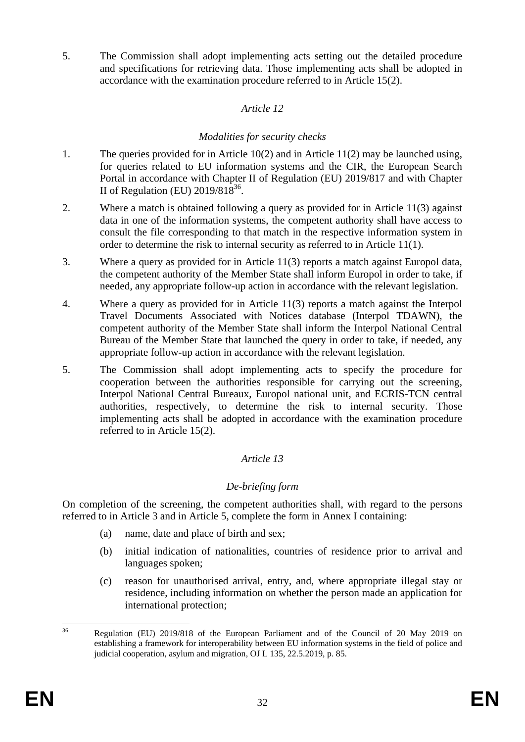5. The Commission shall adopt implementing acts setting out the detailed procedure and specifications for retrieving data. Those implementing acts shall be adopted in accordance with the examination procedure referred to in Article 15(2).

## *Article 12*

## *Modalities for security checks*

- 1. The queries provided for in Article 10(2) and in Article 11(2) may be launched using, for queries related to EU information systems and the CIR, the European Search Portal in accordance with Chapter II of Regulation (EU) 2019/817 and with Chapter II of Regulation (EU)  $2019/818^{36}$ .
- 2. Where a match is obtained following a query as provided for in Article 11(3) against data in one of the information systems, the competent authority shall have access to consult the file corresponding to that match in the respective information system in order to determine the risk to internal security as referred to in Article 11(1).
- 3. Where a query as provided for in Article 11(3) reports a match against Europol data, the competent authority of the Member State shall inform Europol in order to take, if needed, any appropriate follow-up action in accordance with the relevant legislation.
- 4. Where a query as provided for in Article 11(3) reports a match against the Interpol Travel Documents Associated with Notices database (Interpol TDAWN), the competent authority of the Member State shall inform the Interpol National Central Bureau of the Member State that launched the query in order to take, if needed, any appropriate follow-up action in accordance with the relevant legislation.
- 5. The Commission shall adopt implementing acts to specify the procedure for cooperation between the authorities responsible for carrying out the screening, Interpol National Central Bureaux, Europol national unit, and ECRIS-TCN central authorities, respectively, to determine the risk to internal security. Those implementing acts shall be adopted in accordance with the examination procedure referred to in Article 15(2).

# *Article 13*

### *De-briefing form*

On completion of the screening, the competent authorities shall, with regard to the persons referred to in Article 3 and in Article 5, complete the form in Annex I containing:

- (a) name, date and place of birth and sex;
- (b) initial indication of nationalities, countries of residence prior to arrival and languages spoken;
- (c) reason for unauthorised arrival, entry, and, where appropriate illegal stay or residence, including information on whether the person made an application for international protection;

<sup>36</sup> <sup>36</sup> Regulation (EU) 2019/818 of the European Parliament and of the Council of 20 May 2019 on establishing a framework for interoperability between EU information systems in the field of police and judicial cooperation, asylum and migration, OJ L 135, 22.5.2019, p. 85.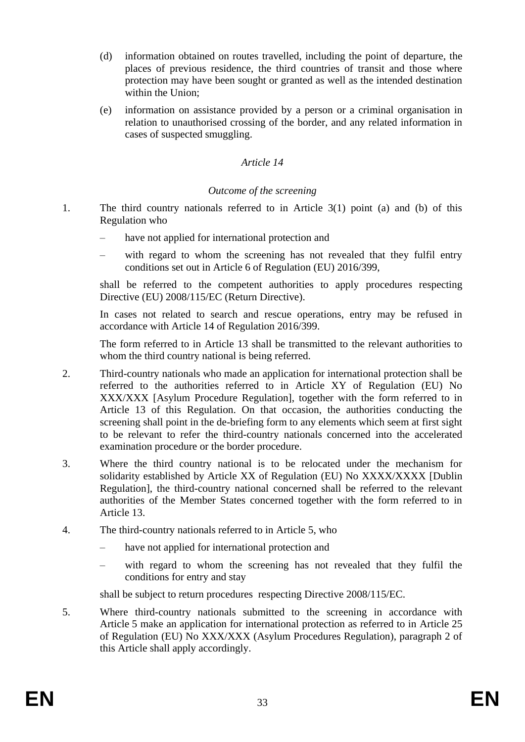- (d) information obtained on routes travelled, including the point of departure, the places of previous residence, the third countries of transit and those where protection may have been sought or granted as well as the intended destination within the Union;
- (e) information on assistance provided by a person or a criminal organisation in relation to unauthorised crossing of the border, and any related information in cases of suspected smuggling.

### *Article 14*

### *Outcome of the screening*

- 1. The third country nationals referred to in Article 3(1) point (a) and (b) of this Regulation who
	- have not applied for international protection and
	- with regard to whom the screening has not revealed that they fulfil entry conditions set out in Article 6 of Regulation (EU) 2016/399,

shall be referred to the competent authorities to apply procedures respecting Directive (EU) 2008/115/EC (Return Directive).

In cases not related to search and rescue operations, entry may be refused in accordance with Article 14 of Regulation 2016/399.

The form referred to in Article 13 shall be transmitted to the relevant authorities to whom the third country national is being referred.

- 2. Third-country nationals who made an application for international protection shall be referred to the authorities referred to in Article XY of Regulation (EU) No XXX/XXX [Asylum Procedure Regulation], together with the form referred to in Article 13 of this Regulation. On that occasion, the authorities conducting the screening shall point in the de-briefing form to any elements which seem at first sight to be relevant to refer the third-country nationals concerned into the accelerated examination procedure or the border procedure.
- 3. Where the third country national is to be relocated under the mechanism for solidarity established by Article XX of Regulation (EU) No XXXX/XXXX [Dublin Regulation], the third-country national concerned shall be referred to the relevant authorities of the Member States concerned together with the form referred to in Article 13.
- 4. The third-country nationals referred to in Article 5, who
	- have not applied for international protection and
	- with regard to whom the screening has not revealed that they fulfil the conditions for entry and stay

shall be subject to return procedures respecting Directive 2008/115/EC.

5. Where third-country nationals submitted to the screening in accordance with Article 5 make an application for international protection as referred to in Article 25 of Regulation (EU) No XXX/XXX (Asylum Procedures Regulation), paragraph 2 of this Article shall apply accordingly.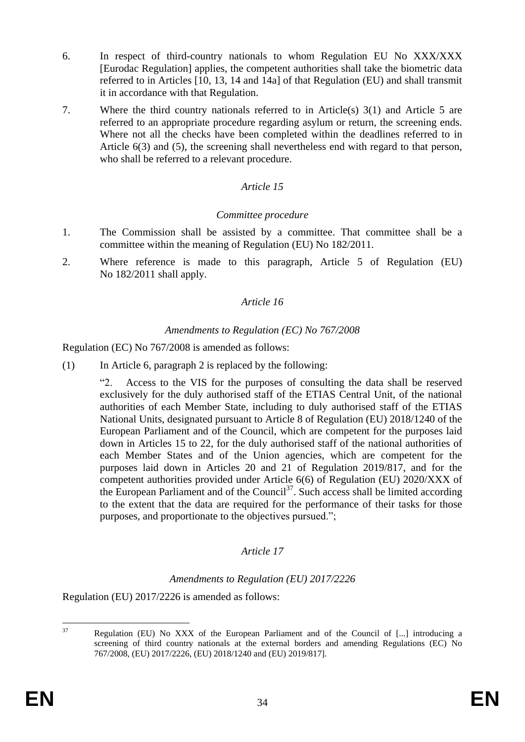- 6. In respect of third-country nationals to whom Regulation EU No XXX/XXX [Eurodac Regulation] applies, the competent authorities shall take the biometric data referred to in Articles [10, 13, 14 and 14a] of that Regulation (EU) and shall transmit it in accordance with that Regulation.
- 7. Where the third country nationals referred to in Article(s) 3(1) and Article 5 are referred to an appropriate procedure regarding asylum or return, the screening ends. Where not all the checks have been completed within the deadlines referred to in Article 6(3) and (5), the screening shall nevertheless end with regard to that person, who shall be referred to a relevant procedure.

# *Article 15*

### *Committee procedure*

- 1. The Commission shall be assisted by a committee. That committee shall be a committee within the meaning of Regulation (EU) No 182/2011.
- 2. Where reference is made to this paragraph, Article 5 of Regulation (EU) No 182/2011 shall apply.

### *Article 16*

#### *Amendments to Regulation (EC) No 767/2008*

Regulation (EC) No 767/2008 is amended as follows:

(1) In Article 6, paragraph 2 is replaced by the following:

"2. Access to the VIS for the purposes of consulting the data shall be reserved exclusively for the duly authorised staff of the ETIAS Central Unit, of the national authorities of each Member State, including to duly authorised staff of the ETIAS National Units, designated pursuant to Article 8 of Regulation (EU) 2018/1240 of the European Parliament and of the Council, which are competent for the purposes laid down in Articles 15 to 22, for the duly authorised staff of the national authorities of each Member States and of the Union agencies, which are competent for the purposes laid down in Articles 20 and 21 of Regulation 2019/817, and for the competent authorities provided under Article 6(6) of Regulation (EU) 2020/XXX of the European Parliament and of the Council<sup>37</sup>. Such access shall be limited according to the extent that the data are required for the performance of their tasks for those purposes, and proportionate to the objectives pursued.";

### *Article 17*

### *Amendments to Regulation (EU) 2017/2226*

Regulation (EU) 2017/2226 is amended as follows:

<sup>37</sup> Regulation (EU) No XXX of the European Parliament and of the Council of [...] introducing a screening of third country nationals at the external borders and amending Regulations (EC) No 767/2008, (EU) 2017/2226, (EU) 2018/1240 and (EU) 2019/817].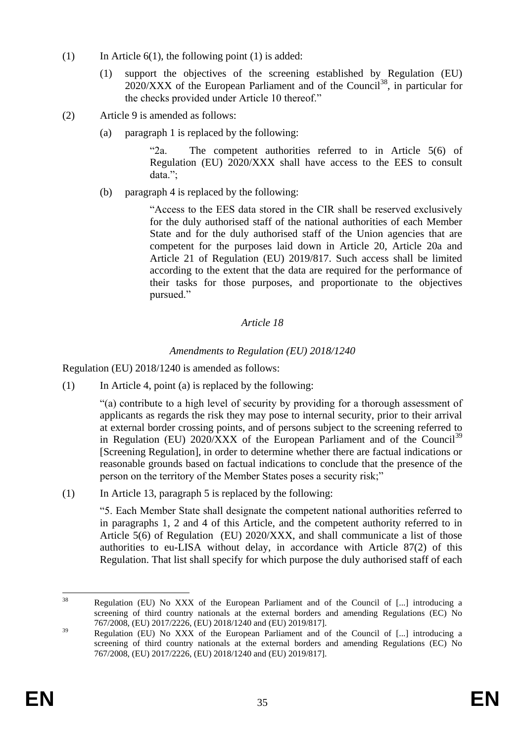- (1) In Article  $6(1)$ , the following point (1) is added:
	- (1) support the objectives of the screening established by Regulation (EU)  $2020/XXX$  of the European Parliament and of the Council<sup>38</sup>, in particular for the checks provided under Article 10 thereof."
- (2) Article 9 is amended as follows:
	- (a) paragraph 1 is replaced by the following:

"2a. The competent authorities referred to in Article 5(6) of Regulation (EU) 2020/XXX shall have access to the EES to consult data.";

(b) paragraph 4 is replaced by the following:

"Access to the EES data stored in the CIR shall be reserved exclusively for the duly authorised staff of the national authorities of each Member State and for the duly authorised staff of the Union agencies that are competent for the purposes laid down in Article 20, Article 20a and Article 21 of Regulation (EU) 2019/817. Such access shall be limited according to the extent that the data are required for the performance of their tasks for those purposes, and proportionate to the objectives pursued."

# *Article 18*

# *Amendments to Regulation (EU) 2018/1240*

Regulation (EU) 2018/1240 is amended as follows:

(1) In Article 4, point (a) is replaced by the following:

"(a) contribute to a high level of security by providing for a thorough assessment of applicants as regards the risk they may pose to internal security, prior to their arrival at external border crossing points, and of persons subject to the screening referred to in Regulation (EU) 2020/XXX of the European Parliament and of the Council<sup>39</sup> [Screening Regulation], in order to determine whether there are factual indications or reasonable grounds based on factual indications to conclude that the presence of the person on the territory of the Member States poses a security risk;"

(1) In Article 13, paragraph 5 is replaced by the following:

"5. Each Member State shall designate the competent national authorities referred to in paragraphs 1, 2 and 4 of this Article, and the competent authority referred to in Article 5(6) of Regulation (EU) 2020/XXX, and shall communicate a list of those authorities to eu-LISA without delay, in accordance with Article 87(2) of this Regulation. That list shall specify for which purpose the duly authorised staff of each

 $38$ <sup>38</sup> Regulation (EU) No XXX of the European Parliament and of the Council of [...] introducing a screening of third country nationals at the external borders and amending Regulations (EC) No 767/2008, (EU) 2017/2226, (EU) 2018/1240 and (EU) 2019/817].

<sup>&</sup>lt;sup>39</sup> Regulation (EU) No XXX of the European Parliament and of the Council of [...] introducing a screening of third country nationals at the external borders and amending Regulations (EC) No 767/2008, (EU) 2017/2226, (EU) 2018/1240 and (EU) 2019/817].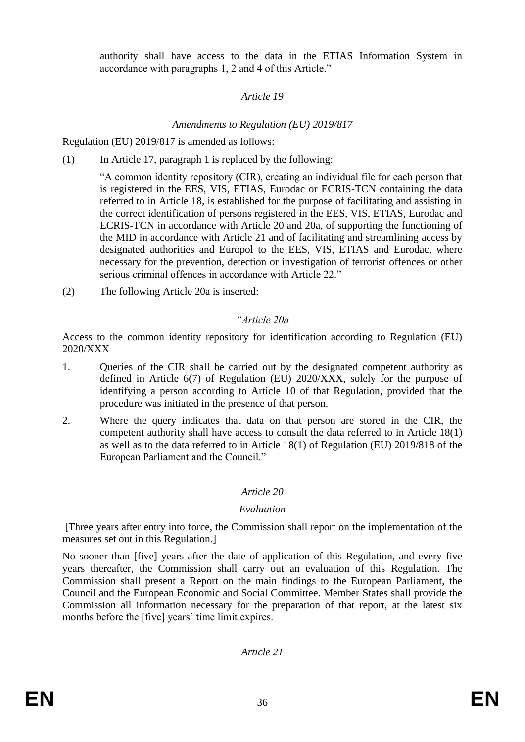authority shall have access to the data in the ETIAS Information System in accordance with paragraphs 1, 2 and 4 of this Article."

## *Article 19*

# *Amendments to Regulation (EU) 2019/817*

Regulation (EU) 2019/817 is amended as follows:

(1) In Article 17, paragraph 1 is replaced by the following:

"A common identity repository (CIR), creating an individual file for each person that is registered in the EES, VIS, ETIAS, Eurodac or ECRIS-TCN containing the data referred to in Article 18, is established for the purpose of facilitating and assisting in the correct identification of persons registered in the EES, VIS, ETIAS, Eurodac and ECRIS-TCN in accordance with Article 20 and 20a, of supporting the functioning of the MID in accordance with Article 21 and of facilitating and streamlining access by designated authorities and Europol to the EES, VIS, ETIAS and Eurodac, where necessary for the prevention, detection or investigation of terrorist offences or other serious criminal offences in accordance with Article 22."

(2) The following Article 20a is inserted:

# *"Article 20a*

Access to the common identity repository for identification according to Regulation (EU) 2020/XXX

- 1. Queries of the CIR shall be carried out by the designated competent authority as defined in Article 6(7) of Regulation (EU) 2020/XXX, solely for the purpose of identifying a person according to Article 10 of that Regulation, provided that the procedure was initiated in the presence of that person.
- 2. Where the query indicates that data on that person are stored in the CIR, the competent authority shall have access to consult the data referred to in Article 18(1) as well as to the data referred to in Article 18(1) of Regulation (EU) 2019/818 of the European Parliament and the Council."

# *Article 20*

# *Evaluation*

[Three years after entry into force, the Commission shall report on the implementation of the measures set out in this Regulation.]

No sooner than [five] years after the date of application of this Regulation, and every five years thereafter, the Commission shall carry out an evaluation of this Regulation. The Commission shall present a Report on the main findings to the European Parliament, the Council and the European Economic and Social Committee. Member States shall provide the Commission all information necessary for the preparation of that report, at the latest six months before the [five] years' time limit expires.

*Article 21*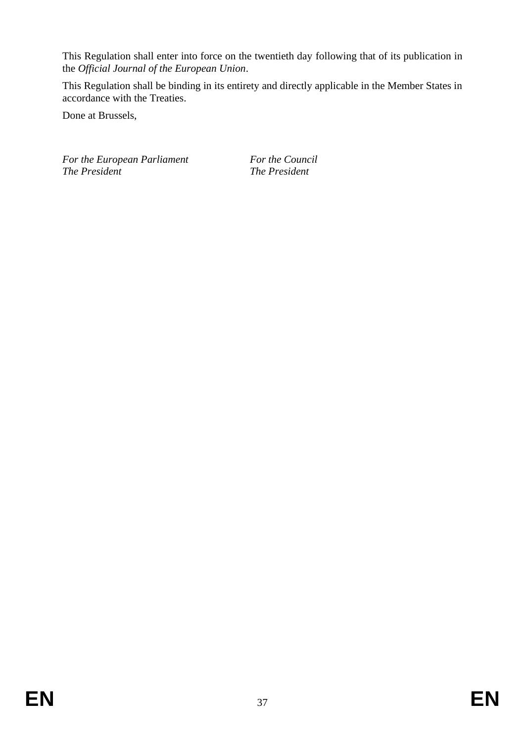This Regulation shall enter into force on the twentieth day following that of its publication in the *Official Journal of the European Union*.

This Regulation shall be binding in its entirety and directly applicable in the Member States in accordance with the Treaties.

Done at Brussels,

*For the European Parliament For the Council The President The President*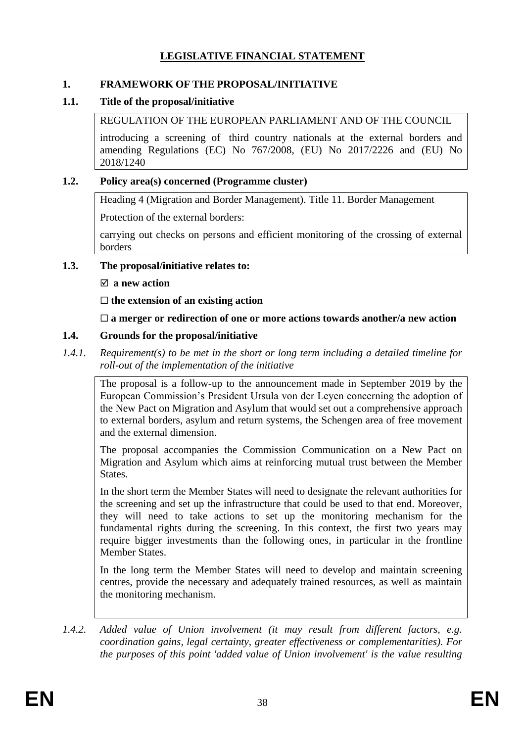# **LEGISLATIVE FINANCIAL STATEMENT**

### **1. FRAMEWORK OF THE PROPOSAL/INITIATIVE**

## **1.1. Title of the proposal/initiative**

## REGULATION OF THE EUROPEAN PARLIAMENT AND OF THE COUNCIL

introducing a screening of third country nationals at the external borders and amending Regulations (EC) No 767/2008, (EU) No 2017/2226 and (EU) No 2018/1240

### **1.2. Policy area(s) concerned (Programme cluster)**

Heading 4 (Migration and Border Management). Title 11. Border Management

Protection of the external borders:

carrying out checks on persons and efficient monitoring of the crossing of external borders

### **1.3. The proposal/initiative relates to:**

### **a new action**

**the extension of an existing action**

# **a merger or redirection of one or more actions towards another/a new action**

# **1.4. Grounds for the proposal/initiative**

*1.4.1. Requirement(s) to be met in the short or long term including a detailed timeline for roll-out of the implementation of the initiative*

The proposal is a follow-up to the announcement made in September 2019 by the European Commission's President Ursula von der Leyen concerning the adoption of the New Pact on Migration and Asylum that would set out a comprehensive approach to external borders, asylum and return systems, the Schengen area of free movement and the external dimension.

The proposal accompanies the Commission Communication on a New Pact on Migration and Asylum which aims at reinforcing mutual trust between the Member States.

In the short term the Member States will need to designate the relevant authorities for the screening and set up the infrastructure that could be used to that end. Moreover, they will need to take actions to set up the monitoring mechanism for the fundamental rights during the screening. In this context, the first two years may require bigger investments than the following ones, in particular in the frontline Member States.

In the long term the Member States will need to develop and maintain screening centres, provide the necessary and adequately trained resources, as well as maintain the monitoring mechanism.

*1.4.2. Added value of Union involvement (it may result from different factors, e.g. coordination gains, legal certainty, greater effectiveness or complementarities). For the purposes of this point 'added value of Union involvement' is the value resulting*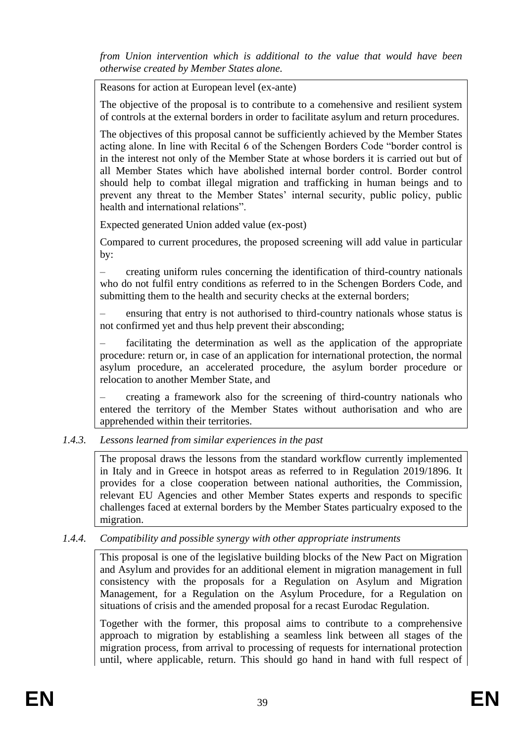*from Union intervention which is additional to the value that would have been otherwise created by Member States alone.*

Reasons for action at European level (ex-ante)

The objective of the proposal is to contribute to a comehensive and resilient system of controls at the external borders in order to facilitate asylum and return procedures.

The objectives of this proposal cannot be sufficiently achieved by the Member States acting alone. In line with Recital 6 of the Schengen Borders Code "border control is in the interest not only of the Member State at whose borders it is carried out but of all Member States which have abolished internal border control. Border control should help to combat illegal migration and trafficking in human beings and to prevent any threat to the Member States' internal security, public policy, public health and international relations".

Expected generated Union added value (ex-post)

Compared to current procedures, the proposed screening will add value in particular by:

– creating uniform rules concerning the identification of third-country nationals who do not fulfil entry conditions as referred to in the Schengen Borders Code, and submitting them to the health and security checks at the external borders;

– ensuring that entry is not authorised to third-country nationals whose status is not confirmed yet and thus help prevent their absconding;

– facilitating the determination as well as the application of the appropriate procedure: return or, in case of an application for international protection, the normal asylum procedure, an accelerated procedure, the asylum border procedure or relocation to another Member State, and

– creating a framework also for the screening of third-country nationals who entered the territory of the Member States without authorisation and who are apprehended within their territories.

*1.4.3. Lessons learned from similar experiences in the past*

The proposal draws the lessons from the standard workflow currently implemented in Italy and in Greece in hotspot areas as referred to in Regulation 2019/1896. It provides for a close cooperation between national authorities, the Commission, relevant EU Agencies and other Member States experts and responds to specific challenges faced at external borders by the Member States particualry exposed to the migration.

*1.4.4. Compatibility and possible synergy with other appropriate instruments*

This proposal is one of the legislative building blocks of the New Pact on Migration and Asylum and provides for an additional element in migration management in full consistency with the proposals for a Regulation on Asylum and Migration Management, for a Regulation on the Asylum Procedure, for a Regulation on situations of crisis and the amended proposal for a recast Eurodac Regulation.

Together with the former, this proposal aims to contribute to a comprehensive approach to migration by establishing a seamless link between all stages of the migration process, from arrival to processing of requests for international protection until, where applicable, return. This should go hand in hand with full respect of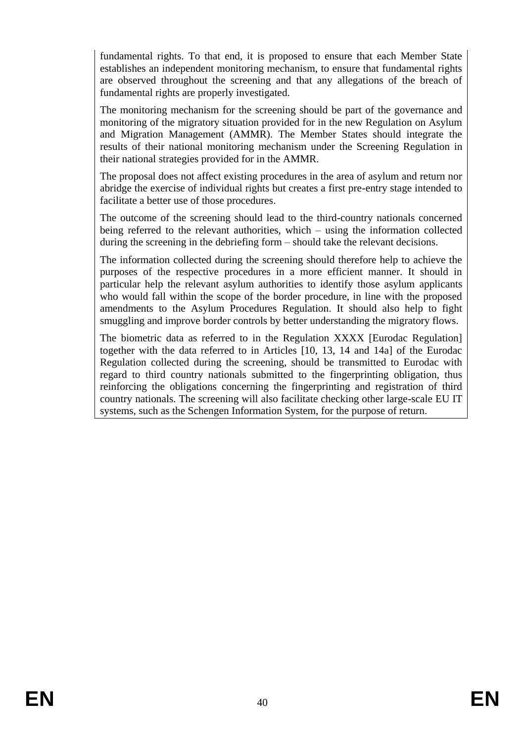fundamental rights. To that end, it is proposed to ensure that each Member State establishes an independent monitoring mechanism, to ensure that fundamental rights are observed throughout the screening and that any allegations of the breach of fundamental rights are properly investigated.

The monitoring mechanism for the screening should be part of the governance and monitoring of the migratory situation provided for in the new Regulation on Asylum and Migration Management (AMMR). The Member States should integrate the results of their national monitoring mechanism under the Screening Regulation in their national strategies provided for in the AMMR.

The proposal does not affect existing procedures in the area of asylum and return nor abridge the exercise of individual rights but creates a first pre-entry stage intended to facilitate a better use of those procedures.

The outcome of the screening should lead to the third-country nationals concerned being referred to the relevant authorities, which – using the information collected during the screening in the debriefing form – should take the relevant decisions.

The information collected during the screening should therefore help to achieve the purposes of the respective procedures in a more efficient manner. It should in particular help the relevant asylum authorities to identify those asylum applicants who would fall within the scope of the border procedure, in line with the proposed amendments to the Asylum Procedures Regulation. It should also help to fight smuggling and improve border controls by better understanding the migratory flows.

The biometric data as referred to in the Regulation XXXX [Eurodac Regulation] together with the data referred to in Articles [10, 13, 14 and 14a] of the Eurodac Regulation collected during the screening, should be transmitted to Eurodac with regard to third country nationals submitted to the fingerprinting obligation, thus reinforcing the obligations concerning the fingerprinting and registration of third country nationals. The screening will also facilitate checking other large-scale EU IT systems, such as the Schengen Information System, for the purpose of return.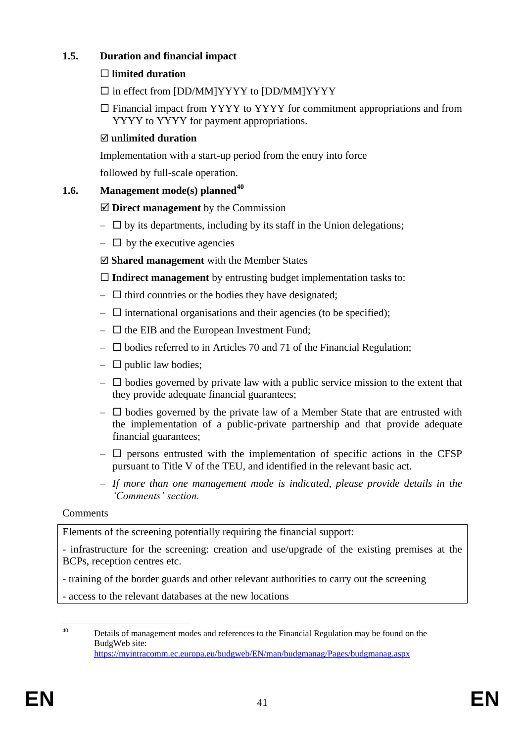# **1.5. Duration and financial impact**

# **limited duration**

- $\square$  in effect from [DD/MM]YYYY to [DD/MM]YYYY
- $\Box$  Financial impact from YYYY to YYYY for commitment appropriations and from YYYY to YYYY for payment appropriations.

# **unlimited duration**

Implementation with a start-up period from the entry into force

followed by full-scale operation.

# **1.6. Management mode(s) planned<sup>40</sup>**

# **Direct management** by the Commission

- $\Box$  by its departments, including by its staff in the Union delegations;
- $\Box$  by the executive agencies

**Shared management** with the Member States

**Indirect management** by entrusting budget implementation tasks to:

- $\Box$  third countries or the bodies they have designated;
- $\Box$  international organisations and their agencies (to be specified);
- $\Box$  the EIB and the European Investment Fund;
- $\square$  bodies referred to in Articles 70 and 71 of the Financial Regulation;
- $\Box$  public law bodies;
- $-\Box$  bodies governed by private law with a public service mission to the extent that they provide adequate financial guarantees;
- $\Box$  bodies governed by the private law of a Member State that are entrusted with the implementation of a public-private partnership and that provide adequate financial guarantees;
- $\Box$  persons entrusted with the implementation of specific actions in the CFSP pursuant to Title V of the TEU, and identified in the relevant basic act.
- *If more than one management mode is indicated, please provide details in the 'Comments' section.*

### Comments

Elements of the screening potentially requiring the financial support:

- infrastructure for the screening: creation and use/upgrade of the existing premises at the BCPs, reception centres etc.

- training of the border guards and other relevant authorities to carry out the screening

- access to the relevant databases at the new locations

 $40^{\circ}$ Details of management modes and references to the Financial Regulation may be found on the BudgWeb site: <https://myintracomm.ec.europa.eu/budgweb/EN/man/budgmanag/Pages/budgmanag.aspx>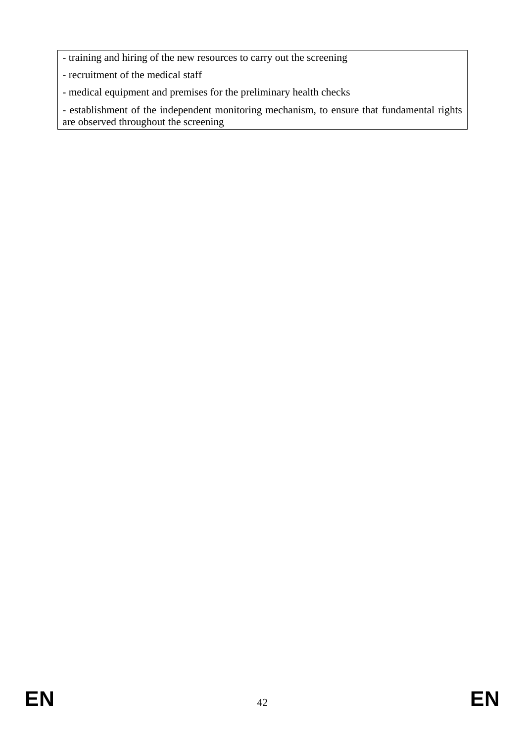- training and hiring of the new resources to carry out the screening
- recruitment of the medical staff
- medical equipment and premises for the preliminary health checks

- establishment of the independent monitoring mechanism, to ensure that fundamental rights are observed throughout the screening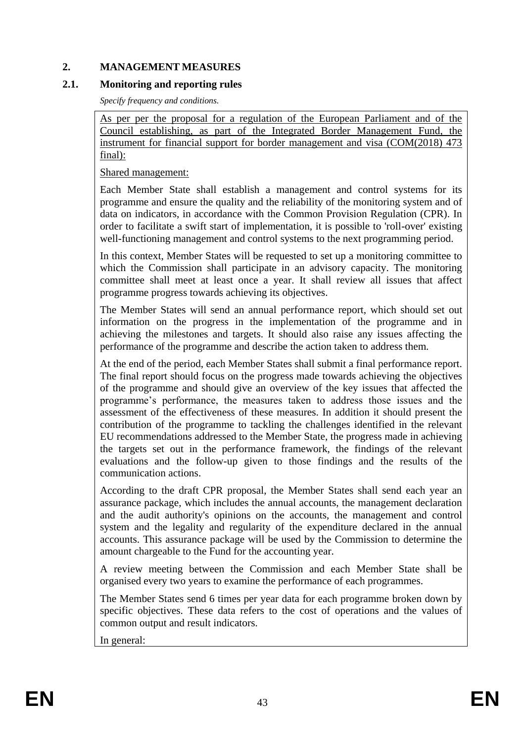#### **2. MANAGEMENT MEASURES**

#### **2.1. Monitoring and reporting rules**

*Specify frequency and conditions.*

As per per the proposal for a regulation of the European Parliament and of the Council establishing, as part of the Integrated Border Management Fund, the instrument for financial support for border management and visa (COM(2018) 473 final):

Shared management:

Each Member State shall establish a management and control systems for its programme and ensure the quality and the reliability of the monitoring system and of data on indicators, in accordance with the Common Provision Regulation (CPR). In order to facilitate a swift start of implementation, it is possible to 'roll-over' existing well-functioning management and control systems to the next programming period.

In this context, Member States will be requested to set up a monitoring committee to which the Commission shall participate in an advisory capacity. The monitoring committee shall meet at least once a year. It shall review all issues that affect programme progress towards achieving its objectives.

The Member States will send an annual performance report, which should set out information on the progress in the implementation of the programme and in achieving the milestones and targets. It should also raise any issues affecting the performance of the programme and describe the action taken to address them.

At the end of the period, each Member States shall submit a final performance report. The final report should focus on the progress made towards achieving the objectives of the programme and should give an overview of the key issues that affected the programme's performance, the measures taken to address those issues and the assessment of the effectiveness of these measures. In addition it should present the contribution of the programme to tackling the challenges identified in the relevant EU recommendations addressed to the Member State, the progress made in achieving the targets set out in the performance framework, the findings of the relevant evaluations and the follow-up given to those findings and the results of the communication actions.

According to the draft CPR proposal, the Member States shall send each year an assurance package, which includes the annual accounts, the management declaration and the audit authority's opinions on the accounts, the management and control system and the legality and regularity of the expenditure declared in the annual accounts. This assurance package will be used by the Commission to determine the amount chargeable to the Fund for the accounting year.

A review meeting between the Commission and each Member State shall be organised every two years to examine the performance of each programmes.

The Member States send 6 times per year data for each programme broken down by specific objectives. These data refers to the cost of operations and the values of common output and result indicators.

In general: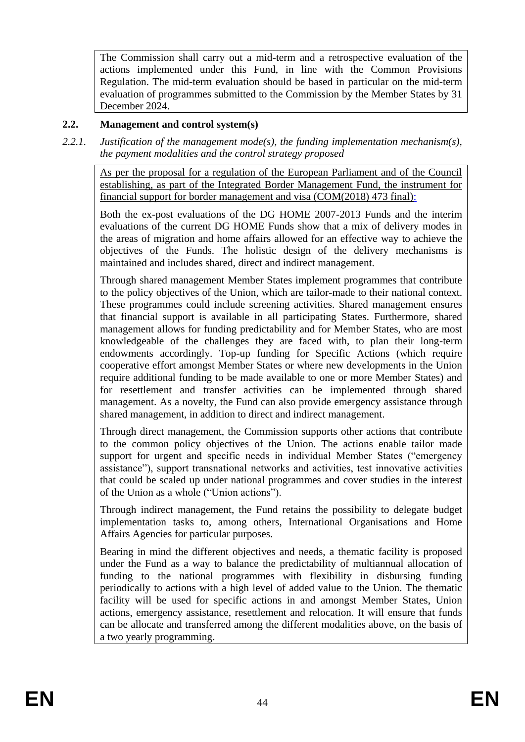The Commission shall carry out a mid-term and a retrospective evaluation of the actions implemented under this Fund, in line with the Common Provisions Regulation. The mid-term evaluation should be based in particular on the mid-term evaluation of programmes submitted to the Commission by the Member States by 31 December 2024.

## **2.2. Management and control system(s)**

*2.2.1. Justification of the management mode(s), the funding implementation mechanism(s), the payment modalities and the control strategy proposed*

As per the proposal for a regulation of the European Parliament and of the Council establishing, as part of the Integrated Border Management Fund, the instrument for financial support for border management and visa (COM(2018) 473 final):

Both the ex-post evaluations of the DG HOME 2007-2013 Funds and the interim evaluations of the current DG HOME Funds show that a mix of delivery modes in the areas of migration and home affairs allowed for an effective way to achieve the objectives of the Funds. The holistic design of the delivery mechanisms is maintained and includes shared, direct and indirect management.

Through shared management Member States implement programmes that contribute to the policy objectives of the Union, which are tailor-made to their national context. These programmes could include screening activities. Shared management ensures that financial support is available in all participating States. Furthermore, shared management allows for funding predictability and for Member States, who are most knowledgeable of the challenges they are faced with, to plan their long-term endowments accordingly. Top-up funding for Specific Actions (which require cooperative effort amongst Member States or where new developments in the Union require additional funding to be made available to one or more Member States) and for resettlement and transfer activities can be implemented through shared management. As a novelty, the Fund can also provide emergency assistance through shared management, in addition to direct and indirect management.

Through direct management, the Commission supports other actions that contribute to the common policy objectives of the Union. The actions enable tailor made support for urgent and specific needs in individual Member States ("emergency assistance"), support transnational networks and activities, test innovative activities that could be scaled up under national programmes and cover studies in the interest of the Union as a whole ("Union actions").

Through indirect management, the Fund retains the possibility to delegate budget implementation tasks to, among others, International Organisations and Home Affairs Agencies for particular purposes.

Bearing in mind the different objectives and needs, a thematic facility is proposed under the Fund as a way to balance the predictability of multiannual allocation of funding to the national programmes with flexibility in disbursing funding periodically to actions with a high level of added value to the Union. The thematic facility will be used for specific actions in and amongst Member States, Union actions, emergency assistance, resettlement and relocation. It will ensure that funds can be allocate and transferred among the different modalities above, on the basis of a two yearly programming.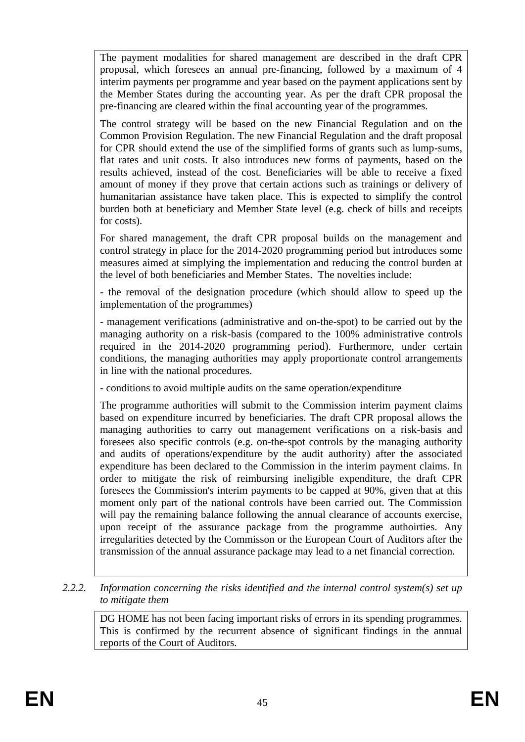The payment modalities for shared management are described in the draft CPR proposal, which foresees an annual pre-financing, followed by a maximum of 4 interim payments per programme and year based on the payment applications sent by the Member States during the accounting year. As per the draft CPR proposal the pre-financing are cleared within the final accounting year of the programmes.

The control strategy will be based on the new Financial Regulation and on the Common Provision Regulation. The new Financial Regulation and the draft proposal for CPR should extend the use of the simplified forms of grants such as lump-sums, flat rates and unit costs. It also introduces new forms of payments, based on the results achieved, instead of the cost. Beneficiaries will be able to receive a fixed amount of money if they prove that certain actions such as trainings or delivery of humanitarian assistance have taken place. This is expected to simplify the control burden both at beneficiary and Member State level (e.g. check of bills and receipts for costs).

For shared management, the draft CPR proposal builds on the management and control strategy in place for the 2014-2020 programming period but introduces some measures aimed at simplying the implementation and reducing the control burden at the level of both beneficiaries and Member States. The novelties include:

- the removal of the designation procedure (which should allow to speed up the implementation of the programmes)

- management verifications (administrative and on-the-spot) to be carried out by the managing authority on a risk-basis (compared to the 100% administrative controls required in the 2014-2020 programming period). Furthermore, under certain conditions, the managing authorities may apply proportionate control arrangements in line with the national procedures.

- conditions to avoid multiple audits on the same operation/expenditure

The programme authorities will submit to the Commission interim payment claims based on expenditure incurred by beneficiaries. The draft CPR proposal allows the managing authorities to carry out management verifications on a risk-basis and foresees also specific controls (e.g. on-the-spot controls by the managing authority and audits of operations/expenditure by the audit authority) after the associated expenditure has been declared to the Commission in the interim payment claims. In order to mitigate the risk of reimbursing ineligible expenditure, the draft CPR foresees the Commission's interim payments to be capped at 90%, given that at this moment only part of the national controls have been carried out. The Commission will pay the remaining balance following the annual clearance of accounts exercise, upon receipt of the assurance package from the programme authoirties. Any irregularities detected by the Commisson or the European Court of Auditors after the transmission of the annual assurance package may lead to a net financial correction.

#### *2.2.2. Information concerning the risks identified and the internal control system(s) set up to mitigate them*

DG HOME has not been facing important risks of errors in its spending programmes. This is confirmed by the recurrent absence of significant findings in the annual reports of the Court of Auditors.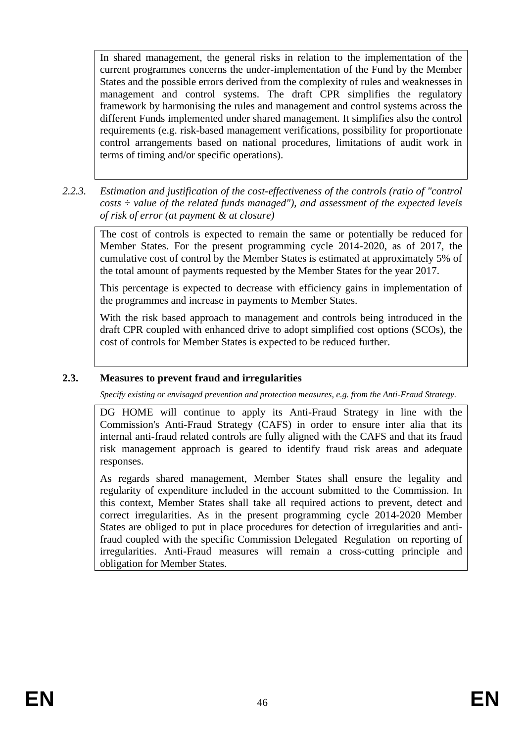In shared management, the general risks in relation to the implementation of the current programmes concerns the under-implementation of the Fund by the Member States and the possible errors derived from the complexity of rules and weaknesses in management and control systems. The draft CPR simplifies the regulatory framework by harmonising the rules and management and control systems across the different Funds implemented under shared management. It simplifies also the control requirements (e.g. risk-based management verifications, possibility for proportionate control arrangements based on national procedures, limitations of audit work in terms of timing and/or specific operations).

*2.2.3. Estimation and justification of the cost-effectiveness of the controls (ratio of "control costs ÷ value of the related funds managed"), and assessment of the expected levels of risk of error (at payment & at closure)* 

The cost of controls is expected to remain the same or potentially be reduced for Member States. For the present programming cycle 2014-2020, as of 2017, the cumulative cost of control by the Member States is estimated at approximately 5% of the total amount of payments requested by the Member States for the year 2017.

This percentage is expected to decrease with efficiency gains in implementation of the programmes and increase in payments to Member States.

With the risk based approach to management and controls being introduced in the draft CPR coupled with enhanced drive to adopt simplified cost options (SCOs), the cost of controls for Member States is expected to be reduced further.

### **2.3. Measures to prevent fraud and irregularities**

*Specify existing or envisaged prevention and protection measures, e.g. from the Anti-Fraud Strategy.*

DG HOME will continue to apply its Anti-Fraud Strategy in line with the Commission's Anti-Fraud Strategy (CAFS) in order to ensure inter alia that its internal anti-fraud related controls are fully aligned with the CAFS and that its fraud risk management approach is geared to identify fraud risk areas and adequate responses.

As regards shared management, Member States shall ensure the legality and regularity of expenditure included in the account submitted to the Commission. In this context, Member States shall take all required actions to prevent, detect and correct irregularities. As in the present programming cycle 2014-2020 Member States are obliged to put in place procedures for detection of irregularities and antifraud coupled with the specific Commission Delegated Regulation on reporting of irregularities. Anti-Fraud measures will remain a cross-cutting principle and obligation for Member States.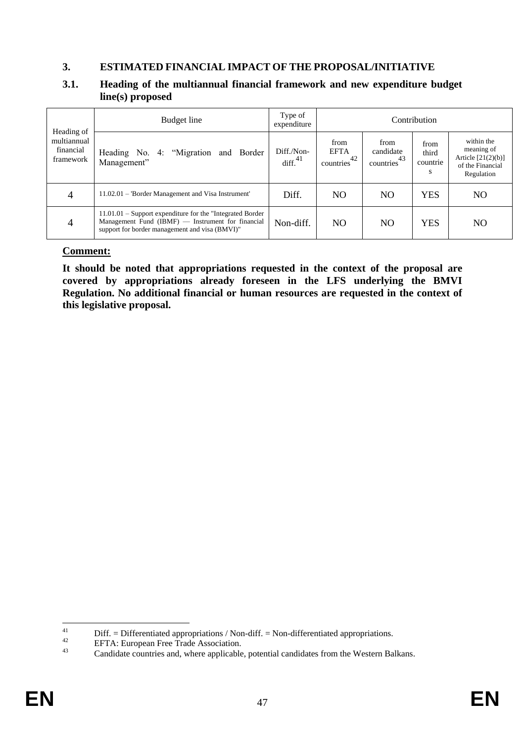#### **3. ESTIMATED FINANCIAL IMPACT OF THE PROPOSAL/INITIATIVE**

#### **3.1. Heading of the multiannual financial framework and new expenditure budget line(s) proposed**

| Heading of                            | Budget line                                                                                                                                                           | Type of<br>expenditure |                                                        |                                                    | Contribution                   |                                                                                    |
|---------------------------------------|-----------------------------------------------------------------------------------------------------------------------------------------------------------------------|------------------------|--------------------------------------------------------|----------------------------------------------------|--------------------------------|------------------------------------------------------------------------------------|
| multiannual<br>financial<br>framework | Heading No. 4: "Migration and Border<br>Management"                                                                                                                   |                        | from<br><b>EFTA</b><br>countries <sup>42</sup> $\vert$ | from<br>candidate<br>-43<br>countries <sup>'</sup> | from<br>third<br>countrie<br>S | within the<br>meaning of<br>Article $[21(2)(b)]$<br>of the Financial<br>Regulation |
| 4                                     | 11.02.01 – 'Border Management and Visa Instrument'                                                                                                                    | Diff.                  | NO.                                                    | N <sub>O</sub>                                     | YES                            | N <sub>O</sub>                                                                     |
| 4                                     | $11.01.01 -$ Support expenditure for the "Integrated Border"<br>Management Fund $(IBMF)$ — Instrument for financial<br>support for border management and visa (BMVI)" | Non-diff.              | NO.                                                    | NO.                                                | YES                            | NO                                                                                 |

#### **Comment:**

**It should be noted that appropriations requested in the context of the proposal are covered by appropriations already foreseen in the LFS underlying the BMVI Regulation. No additional financial or human resources are requested in the context of this legislative proposal.** 

 $41$ <sup>41</sup> Diff. = Differentiated appropriations / Non-diff. = Non-differentiated appropriations.<br>
EETA: European Free Trede Association

<sup>&</sup>lt;sup>42</sup> EFTA: European Free Trade Association.<br> **Condidate countries and whore applicable** 

Candidate countries and, where applicable, potential candidates from the Western Balkans.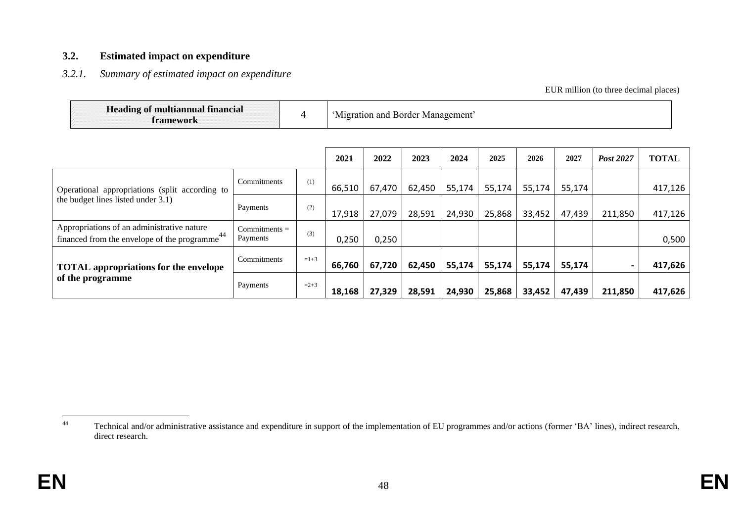#### **3.2. Estimated impact on expenditure**

#### *3.2.1. Summary of estimated impact on expenditure*

EUR million (to three decimal places)

| framework                                                                                               | <b>Heading of multiannual financial</b><br>4 |        |        | 'Migration and Border Management' |        |        |        |        |        |           |              |
|---------------------------------------------------------------------------------------------------------|----------------------------------------------|--------|--------|-----------------------------------|--------|--------|--------|--------|--------|-----------|--------------|
|                                                                                                         |                                              |        | 2021   | 2022                              | 2023   | 2024   | 2025   | 2026   | 2027   | Post 2027 | <b>TOTAL</b> |
| Operational appropriations (split according to                                                          | Commitments                                  | (1)    | 66,510 | 67,470                            | 62,450 | 55,174 | 55,174 | 55,174 | 55,174 |           | 417,126      |
| the budget lines listed under 3.1)                                                                      | Payments                                     | (2)    | 17,918 | 27,079                            | 28,591 | 24,930 | 25,868 | 33,452 | 47,439 | 211,850   | 417,126      |
| Appropriations of an administrative nature<br>financed from the envelope of the programme <sup>44</sup> | $Commitments =$<br>Payments                  | (3)    | 0,250  | 0,250                             |        |        |        |        |        |           | 0,500        |
| <b>TOTAL</b> appropriations for the envelope                                                            | Commitments                                  | $=1+3$ | 66,760 | 67,720                            | 62,450 | 55,174 | 55,174 | 55,174 | 55,174 |           | 417,626      |
| of the programme                                                                                        | Payments                                     | $=2+3$ | 18,168 | 27,329                            | 28,591 | 24,930 | 25,868 | 33,452 | 47,439 | 211,850   | 417,626      |

 $44$ Technical and/or administrative assistance and expenditure in support of the implementation of EU programmes and/or actions (former 'BA' lines), indirect research, direct research.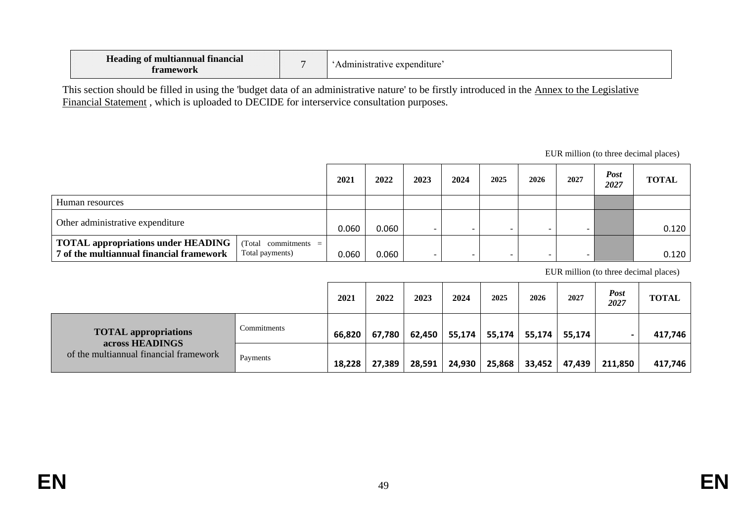| <b>Heading of multiannual financial</b><br>Tamework |  | Administrative expenditure: |
|-----------------------------------------------------|--|-----------------------------|
|-----------------------------------------------------|--|-----------------------------|

This section should be filled in using the 'budget data of an administrative nature' to be firstly introduced in the [Annex to the Legislative](https://myintracomm.ec.europa.eu/budgweb/EN/bud/mff/Pages/mff-post-2020.aspx)  [Financial Statement](https://myintracomm.ec.europa.eu/budgweb/EN/bud/mff/Pages/mff-post-2020.aspx) , which is uploaded to DECIDE for interservice consultation purposes.

EUR million (to three decimal places)

|                                                                                                                                   |  | 2021  | 2022  | 2023 | 2024 | 2025 | 2026 | 2027                     | Post<br>2027 | <b>TOTAL</b> |
|-----------------------------------------------------------------------------------------------------------------------------------|--|-------|-------|------|------|------|------|--------------------------|--------------|--------------|
| Human resources                                                                                                                   |  |       |       |      |      |      |      |                          |              |              |
| Other administrative expenditure                                                                                                  |  | 0.060 | 0.060 |      |      |      |      | $\overline{\phantom{0}}$ |              | 0.120        |
| <b>TOTAL appropriations under HEADING</b><br>$Total$ commitments =<br>7 of the multiannual financial framework<br>Total payments) |  | 0.060 | 0.060 |      |      |      |      | $\overline{\phantom{0}}$ |              | 0.120        |

EUR million (to three decimal places)

|                                                |             | 2021   | 2022   | 2023   | 2024   | 2025   | 2026   | 2027   | <b>Post</b><br>2027 | <b>TOTAL</b> |
|------------------------------------------------|-------------|--------|--------|--------|--------|--------|--------|--------|---------------------|--------------|
| <b>TOTAL appropriations</b><br>across HEADINGS | Commitments | 66,820 | 67,780 | 62,450 | 55,174 | 55,174 | 55,174 | 55,174 |                     | 417,746      |
| of the multiannual financial framework         | Payments    | 18,228 | 27,389 | 28,591 | 24,930 | 25,868 | 33,452 | 47,439 | 211,850             | 417,746      |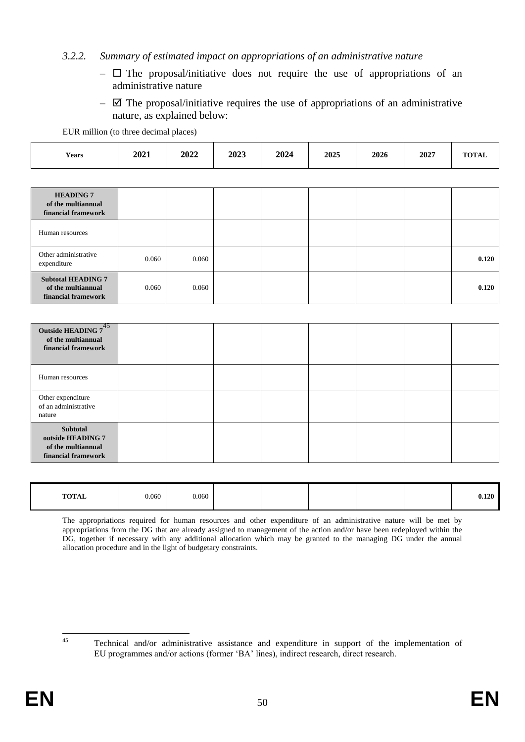#### *3.2.2. Summary of estimated impact on appropriations of an administrative nature*

- $\Box$  The proposal/initiative does not require the use of appropriations of an administrative nature
- $\boxtimes$  The proposal/initiative requires the use of appropriations of an administrative nature, as explained below:

EUR million (to three decimal places)

| <b>Years</b> | 2021 | 2022 | 2023 | 2024 | 2025 | 2026 | 2027 | $T0$ $T0$ $T1$ $T2$<br>IUIAL |
|--------------|------|------|------|------|------|------|------|------------------------------|
|--------------|------|------|------|------|------|------|------|------------------------------|

| <b>HEADING 7</b><br>of the multiannual<br>financial framework          |       |       |  |  |       |
|------------------------------------------------------------------------|-------|-------|--|--|-------|
| Human resources                                                        |       |       |  |  |       |
| Other administrative<br>expenditure                                    | 0.060 | 0.060 |  |  | 0.120 |
| <b>Subtotal HEADING 7</b><br>of the multiannual<br>financial framework | 0.060 | 0.060 |  |  | 0.120 |

| Outside HEADING 745<br>of the multiannual<br>financial framework                  |  |  |  |  |
|-----------------------------------------------------------------------------------|--|--|--|--|
| Human resources                                                                   |  |  |  |  |
| Other expenditure<br>of an administrative<br>nature                               |  |  |  |  |
| <b>Subtotal</b><br>outside HEADING 7<br>of the multiannual<br>financial framework |  |  |  |  |

| <b>TOTAL</b> | 0.060 | 0.060 |  |  | 0.120 |
|--------------|-------|-------|--|--|-------|
|              |       |       |  |  |       |

The appropriations required for human resources and other expenditure of an administrative nature will be met by appropriations from the DG that are already assigned to management of the action and/or have been redeployed within the DG, together if necessary with any additional allocation which may be granted to the managing DG under the annual allocation procedure and in the light of budgetary constraints.

 $45$ 

<sup>45</sup> Technical and/or administrative assistance and expenditure in support of the implementation of EU programmes and/or actions (former 'BA' lines), indirect research, direct research.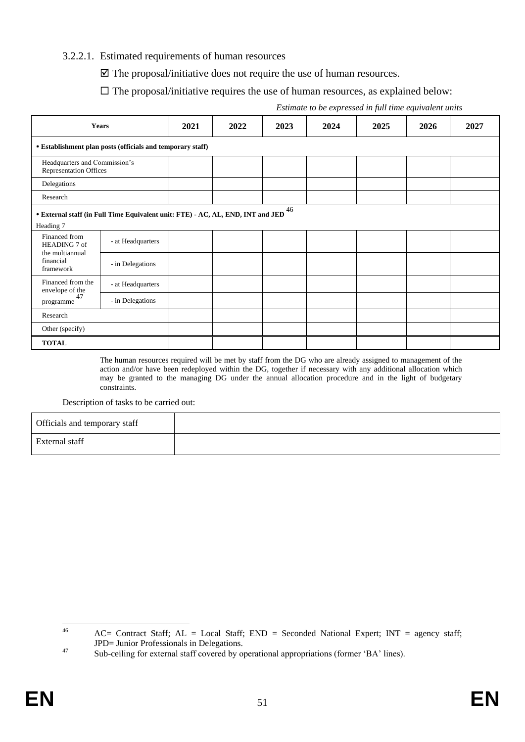#### 3.2.2.1. Estimated requirements of human resources

 $\triangledown$  The proposal/initiative does not require the use of human resources.

#### $\Box$  The proposal/initiative requires the use of human resources, as explained below:

|                                                                | <b>Years</b>                                                                    | 2021 | 2022 | 2023 | 2024 | 2025 | 2026 | 2027 |
|----------------------------------------------------------------|---------------------------------------------------------------------------------|------|------|------|------|------|------|------|
|                                                                | • Establishment plan posts (officials and temporary staff)                      |      |      |      |      |      |      |      |
| Headquarters and Commission's<br><b>Representation Offices</b> |                                                                                 |      |      |      |      |      |      |      |
| Delegations                                                    |                                                                                 |      |      |      |      |      |      |      |
| Research                                                       |                                                                                 |      |      |      |      |      |      |      |
| Heading 7                                                      | • External staff (in Full Time Equivalent unit: FTE) - AC, AL, END, INT and JED |      |      | 46   |      |      |      |      |
| Financed from<br>HEADING 7 of                                  | - at Headquarters                                                               |      |      |      |      |      |      |      |
| the multiannual<br>financial<br>framework                      | - in Delegations                                                                |      |      |      |      |      |      |      |
| Financed from the<br>envelope of the                           | - at Headquarters                                                               |      |      |      |      |      |      |      |
| 47<br>programme                                                | - in Delegations                                                                |      |      |      |      |      |      |      |
| Research                                                       |                                                                                 |      |      |      |      |      |      |      |
| Other (specify)                                                |                                                                                 |      |      |      |      |      |      |      |
| <b>TOTAL</b>                                                   |                                                                                 |      |      |      |      |      |      |      |

*Estimate to be expressed in full time equivalent units*

The human resources required will be met by staff from the DG who are already assigned to management of the action and/or have been redeployed within the DG, together if necessary with any additional allocation which may be granted to the managing DG under the annual allocation procedure and in the light of budgetary constraints.

Description of tasks to be carried out:

| Officials and temporary staff |  |
|-------------------------------|--|
| External staff                |  |

 $46$  $AC=$  Contract Staff;  $AL = Local$  Staff;  $END = Second$  National Expert;  $INT = agency$  staff; JPD= Junior Professionals in Delegations.

<sup>&</sup>lt;sup>47</sup> Sub-ceiling for external staff covered by operational appropriations (former 'BA' lines).